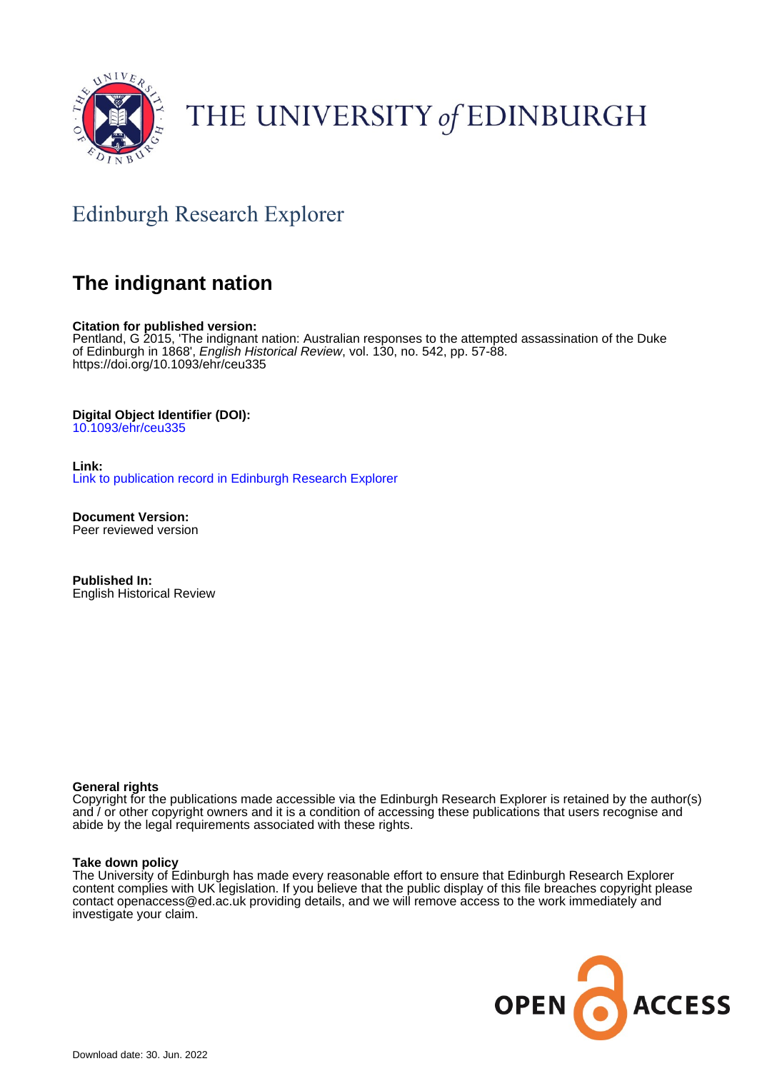

# THE UNIVERSITY of EDINBURGH

# Edinburgh Research Explorer

## **The indignant nation**

### **Citation for published version:**

Pentland, G 2015, 'The indignant nation: Australian responses to the attempted assassination of the Duke of Edinburgh in 1868', English Historical Review, vol. 130, no. 542, pp. 57-88. <https://doi.org/10.1093/ehr/ceu335>

### **Digital Object Identifier (DOI):**

[10.1093/ehr/ceu335](https://doi.org/10.1093/ehr/ceu335)

**Link:** [Link to publication record in Edinburgh Research Explorer](https://www.research.ed.ac.uk/en/publications/f9f58096-4ff3-4e21-8110-c5d433493813)

**Document Version:** Peer reviewed version

**Published In:** English Historical Review

### **General rights**

Copyright for the publications made accessible via the Edinburgh Research Explorer is retained by the author(s) and / or other copyright owners and it is a condition of accessing these publications that users recognise and abide by the legal requirements associated with these rights.

### **Take down policy**

The University of Edinburgh has made every reasonable effort to ensure that Edinburgh Research Explorer content complies with UK legislation. If you believe that the public display of this file breaches copyright please contact openaccess@ed.ac.uk providing details, and we will remove access to the work immediately and investigate your claim.

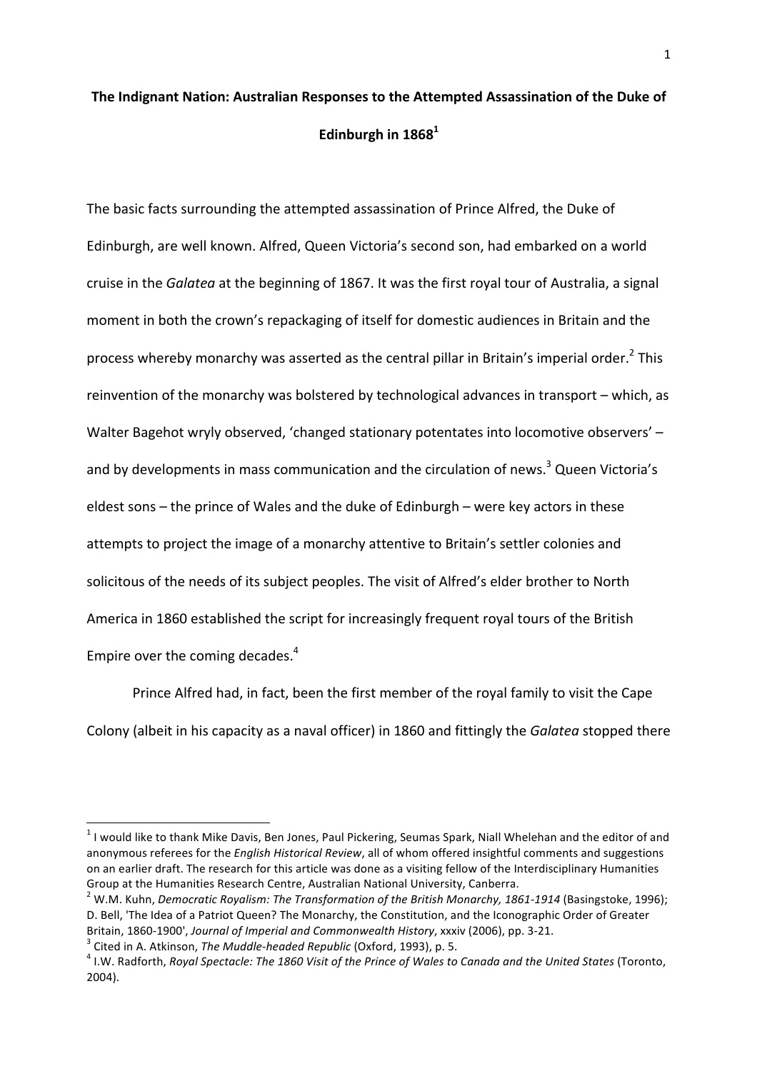# The Indignant Nation: Australian Responses to the Attempted Assassination of the Duke of **Edinburgh in 1868**<sup>1</sup>

The basic facts surrounding the attempted assassination of Prince Alfred, the Duke of Edinburgh, are well known. Alfred, Queen Victoria's second son, had embarked on a world cruise in the *Galatea* at the beginning of 1867. It was the first royal tour of Australia, a signal moment in both the crown's repackaging of itself for domestic audiences in Britain and the process whereby monarchy was asserted as the central pillar in Britain's imperial order.<sup>2</sup> This reinvention of the monarchy was bolstered by technological advances in transport – which, as Walter Bagehot wryly observed, 'changed stationary potentates into locomotive observers' and by developments in mass communication and the circulation of news.<sup>3</sup> Queen Victoria's eldest sons – the prince of Wales and the duke of Edinburgh – were key actors in these attempts to project the image of a monarchy attentive to Britain's settler colonies and solicitous of the needs of its subject peoples. The visit of Alfred's elder brother to North America in 1860 established the script for increasingly frequent royal tours of the British Empire over the coming decades.<sup>4</sup>

Prince Alfred had, in fact, been the first member of the royal family to visit the Cape Colony (albeit in his capacity as a naval officer) in 1860 and fittingly the *Galatea* stopped there

 $1$  I would like to thank Mike Davis, Ben Jones, Paul Pickering, Seumas Spark, Niall Whelehan and the editor of and anonymous referees for the *English Historical Review*, all of whom offered insightful comments and suggestions on an earlier draft. The research for this article was done as a visiting fellow of the Interdisciplinary Humanities Group at the Humanities Research Centre, Australian National University, Canberra.

<sup>&</sup>lt;sup>2</sup> W.M. Kuhn, *Democratic Royalism: The Transformation of the British Monarchy, 1861-1914* (Basingstoke, 1996); D. Bell, 'The Idea of a Patriot Queen? The Monarchy, the Constitution, and the Iconographic Order of Greater Britain, 1860-1900', Journal of Imperial and Commonwealth History, xxxiv (2006), pp. 3-21.<br><sup>3</sup> Cited in A. Atkinson, The Muddle-headed Republic (Oxford, 1993), p. 5.<br><sup>4</sup> I.W. Radforth, *Royal Spectacle: The 1860 Visit of t* 

<sup>2004).</sup>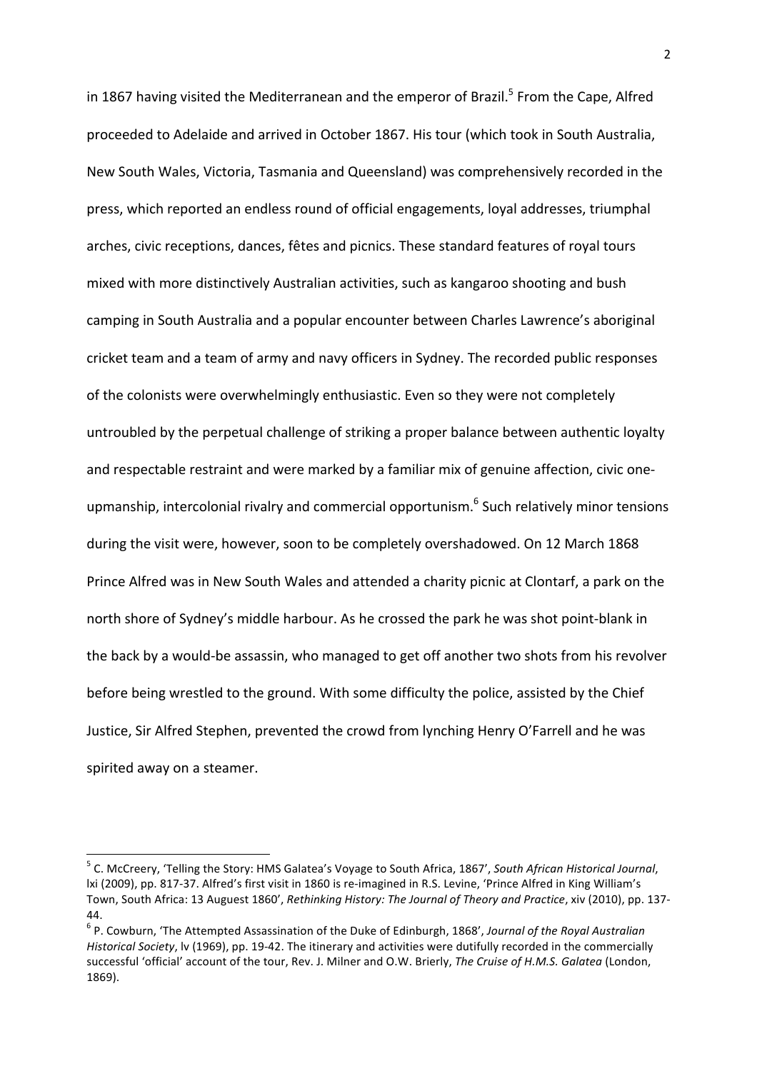in 1867 having visited the Mediterranean and the emperor of Brazil.<sup>5</sup> From the Cape, Alfred proceeded to Adelaide and arrived in October 1867. His tour (which took in South Australia, New South Wales, Victoria, Tasmania and Queensland) was comprehensively recorded in the press, which reported an endless round of official engagements, loyal addresses, triumphal arches, civic receptions, dances, fêtes and picnics. These standard features of royal tours mixed with more distinctively Australian activities, such as kangaroo shooting and bush camping in South Australia and a popular encounter between Charles Lawrence's aboriginal cricket team and a team of army and navy officers in Sydney. The recorded public responses of the colonists were overwhelmingly enthusiastic. Even so they were not completely untroubled by the perpetual challenge of striking a proper balance between authentic loyalty and respectable restraint and were marked by a familiar mix of genuine affection, civic oneupmanship, intercolonial rivalry and commercial opportunism.<sup>6</sup> Such relatively minor tensions during the visit were, however, soon to be completely overshadowed. On 12 March 1868 Prince Alfred was in New South Wales and attended a charity picnic at Clontarf, a park on the north shore of Sydney's middle harbour. As he crossed the park he was shot point-blank in the back by a would-be assassin, who managed to get off another two shots from his revolver before being wrestled to the ground. With some difficulty the police, assisted by the Chief Justice, Sir Alfred Stephen, prevented the crowd from lynching Henry O'Farrell and he was spirited away on a steamer.

<sup>&</sup>lt;sup>5</sup> C. McCreery, 'Telling the Story: HMS Galatea's Voyage to South Africa, 1867', *South African Historical Journal*, lxi (2009), pp. 817-37. Alfred's first visit in 1860 is re-imagined in R.S. Levine, 'Prince Alfred in King William's Town, South Africa: 13 Auguest 1860', Rethinking History: The Journal of Theory and Practice, xiv (2010), pp. 137-44.

<sup>&</sup>lt;sup>6</sup> P. Cowburn, 'The Attempted Assassination of the Duke of Edinburgh, 1868', Journal of the Royal Australian *Historical Society*, lv (1969), pp. 19-42. The itinerary and activities were dutifully recorded in the commercially successful 'official' account of the tour, Rev. J. Milner and O.W. Brierly, The Cruise of H.M.S. Galatea (London, 1869).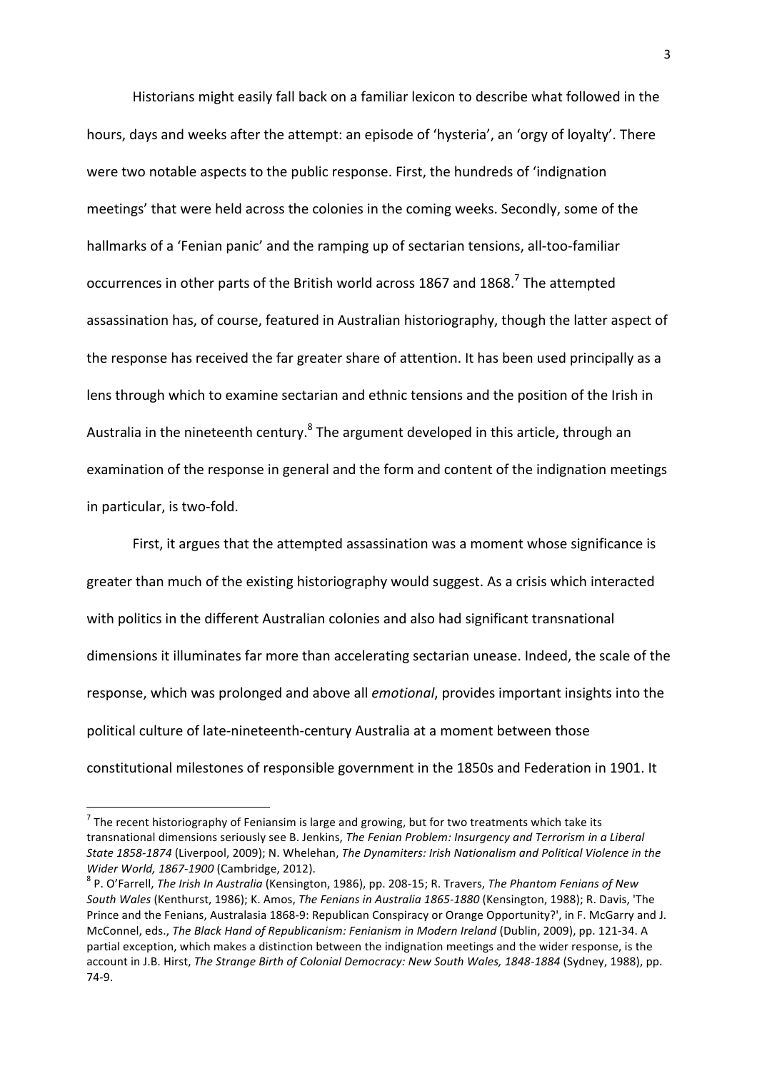Historians might easily fall back on a familiar lexicon to describe what followed in the hours, days and weeks after the attempt: an episode of 'hysteria', an 'orgy of loyalty'. There were two notable aspects to the public response. First, the hundreds of 'indignation meetings' that were held across the colonies in the coming weeks. Secondly, some of the hallmarks of a 'Fenian panic' and the ramping up of sectarian tensions, all-too-familiar occurrences in other parts of the British world across 1867 and 1868.<sup>7</sup> The attempted assassination has, of course, featured in Australian historiography, though the latter aspect of the response has received the far greater share of attention. It has been used principally as a lens through which to examine sectarian and ethnic tensions and the position of the Irish in Australia in the nineteenth century.<sup>8</sup> The argument developed in this article, through an examination of the response in general and the form and content of the indignation meetings in particular, is two-fold.

First, it argues that the attempted assassination was a moment whose significance is greater than much of the existing historiography would suggest. As a crisis which interacted with politics in the different Australian colonies and also had significant transnational dimensions it illuminates far more than accelerating sectarian unease. Indeed, the scale of the response, which was prolonged and above all *emotional*, provides important insights into the political culture of late-nineteenth-century Australia at a moment between those constitutional milestones of responsible government in the 1850s and Federation in 1901. It

 $<sup>7</sup>$  The recent historiography of Feniansim is large and growing, but for two treatments which take its</sup> transnational dimensions seriously see B. Jenkins, *The Fenian Problem: Insurgency and Terrorism in a Liberal* State 1858-1874 (Liverpool, 2009); N. Whelehan, *The Dynamiters: Irish Nationalism and Political Violence in the Wider World, 1867-1900* (Cambridge, 2012).<br><sup>8</sup> P. O'Farrell, *The Irish In Australia* (Kensington, 1986), pp. 208-15; R. Travers, *The Phantom Fenians of New* 

South Wales (Kenthurst, 1986); K. Amos, *The Fenians in Australia 1865-1880* (Kensington, 1988); R. Davis, 'The Prince and the Fenians, Australasia 1868-9: Republican Conspiracy or Orange Opportunity?', in F. McGarry and J. McConnel, eds., *The Black Hand of Republicanism: Fenianism in Modern Ireland* (Dublin, 2009), pp. 121-34. A partial exception, which makes a distinction between the indignation meetings and the wider response, is the account in J.B. Hirst, The Strange Birth of Colonial Democracy: New South Wales, 1848-1884 (Sydney, 1988), pp. 74-9.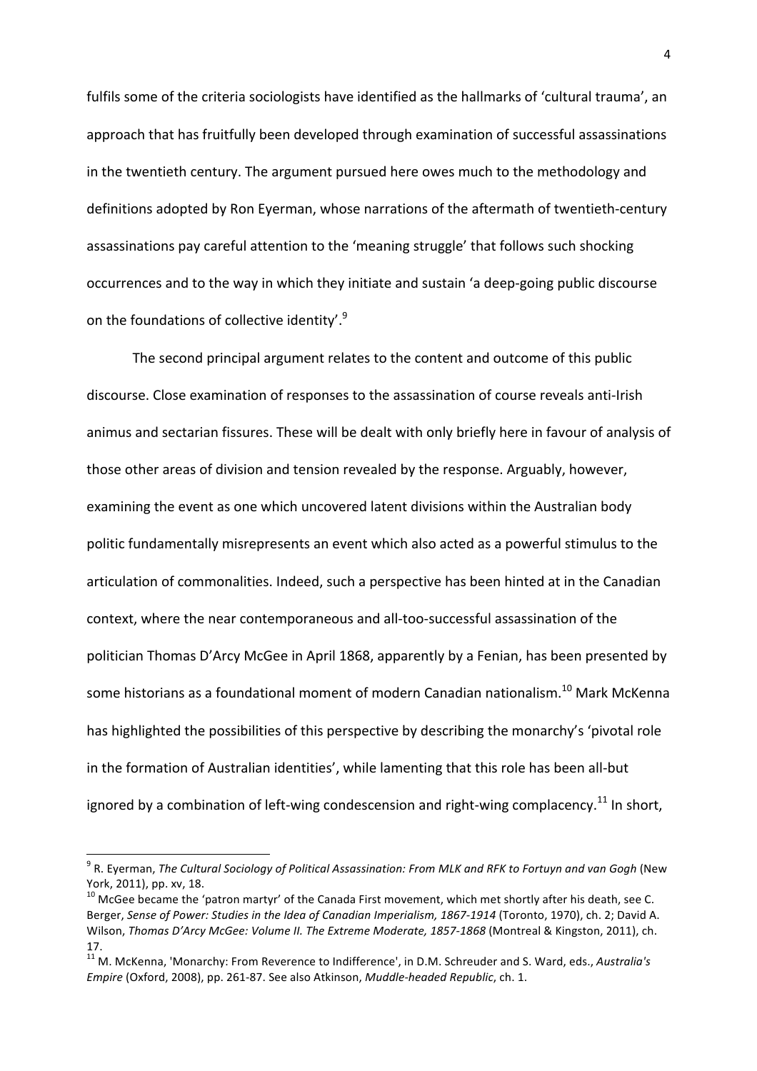fulfils some of the criteria sociologists have identified as the hallmarks of 'cultural trauma', an approach that has fruitfully been developed through examination of successful assassinations in the twentieth century. The argument pursued here owes much to the methodology and definitions adopted by Ron Eyerman, whose narrations of the aftermath of twentieth-century assassinations pay careful attention to the 'meaning struggle' that follows such shocking occurrences and to the way in which they initiate and sustain 'a deep-going public discourse on the foundations of collective identity'. $9$ 

The second principal argument relates to the content and outcome of this public discourse. Close examination of responses to the assassination of course reveals anti-Irish animus and sectarian fissures. These will be dealt with only briefly here in favour of analysis of those other areas of division and tension revealed by the response. Arguably, however, examining the event as one which uncovered latent divisions within the Australian body politic fundamentally misrepresents an event which also acted as a powerful stimulus to the articulation of commonalities. Indeed, such a perspective has been hinted at in the Canadian context, where the near contemporaneous and all-too-successful assassination of the politician Thomas D'Arcy McGee in April 1868, apparently by a Fenian, has been presented by some historians as a foundational moment of modern Canadian nationalism.<sup>10</sup> Mark McKenna has highlighted the possibilities of this perspective by describing the monarchy's 'pivotal role in the formation of Australian identities', while lamenting that this role has been all-but ignored by a combination of left-wing condescension and right-wing complacency.<sup>11</sup> In short,

<sup>&</sup>lt;sup>9</sup> R. Eyerman, *The Cultural Sociology of Political Assassination: From MLK and RFK to Fortuyn and van Gogh (New* York, 2011), pp. xv, 18.

 $10$  McGee became the 'patron martyr' of the Canada First movement, which met shortly after his death, see C. Berger, Sense of Power: Studies in the Idea of Canadian Imperialism, 1867-1914 (Toronto, 1970), ch. 2; David A. Wilson, Thomas D'Arcy McGee: Volume II. The Extreme Moderate, 1857-1868 (Montreal & Kingston, 2011), ch. 17.

<sup>11&</sup>lt;br><sup>11</sup> M. McKenna, 'Monarchy: From Reverence to Indifference', in D.M. Schreuder and S. Ward, eds., *Australia's Empire* (Oxford, 2008), pp. 261-87. See also Atkinson, *Muddle-headed Republic*, ch. 1.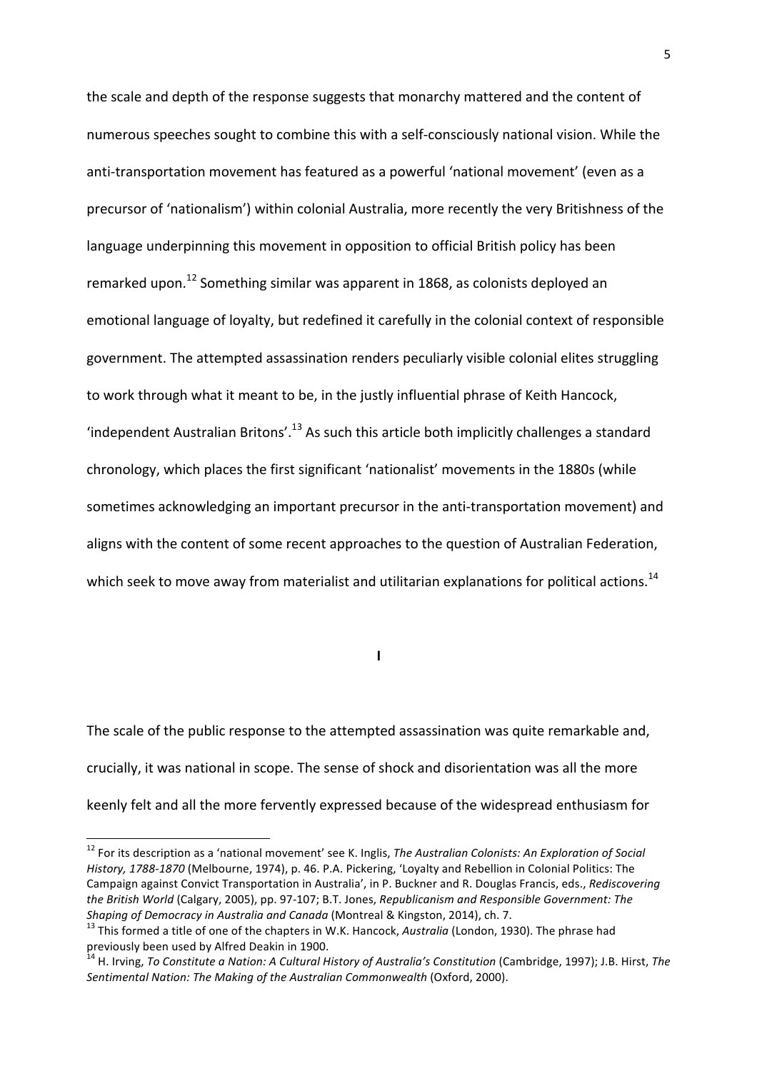the scale and depth of the response suggests that monarchy mattered and the content of numerous speeches sought to combine this with a self-consciously national vision. While the anti-transportation movement has featured as a powerful 'national movement' (even as a precursor of 'nationalism') within colonial Australia, more recently the very Britishness of the language underpinning this movement in opposition to official British policy has been remarked upon.<sup>12</sup> Something similar was apparent in 1868, as colonists deployed an emotional language of loyalty, but redefined it carefully in the colonial context of responsible government. The attempted assassination renders peculiarly visible colonial elites struggling to work through what it meant to be, in the justly influential phrase of Keith Hancock, 'independent Australian Britons'.<sup>13</sup> As such this article both implicitly challenges a standard chronology, which places the first significant 'nationalist' movements in the 1880s (while sometimes acknowledging an important precursor in the anti-transportation movement) and aligns with the content of some recent approaches to the question of Australian Federation, which seek to move away from materialist and utilitarian explanations for political actions.<sup>14</sup>

**I**

The scale of the public response to the attempted assassination was quite remarkable and, crucially, it was national in scope. The sense of shock and disorientation was all the more keenly felt and all the more fervently expressed because of the widespread enthusiasm for

 

<sup>&</sup>lt;sup>12</sup> For its description as a 'national movement' see K. Inglis, *The Australian Colonists: An Exploration of Social History, 1788-1870* (Melbourne, 1974), p. 46. P.A. Pickering, 'Loyalty and Rebellion in Colonial Politics: The Campaign against Convict Transportation in Australia', in P. Buckner and R. Douglas Francis, eds., *Rediscovering the British World* (Calgary, 2005), pp. 97-107; B.T. Jones, *Republicanism and Responsible Government: The Shaping of Democracy in Australia and Canada* (Montreal & Kingston, 2014), ch. 7.<br><sup>13</sup> This formed a title of one of the chapters in W.K. Hancock, *Australia* (London, 1930). The phrase had

previously been used by Alfred Deakin in 1900.

<sup>&</sup>lt;sup>14</sup> H. Irving, *To Constitute a Nation: A Cultural History of Australia's Constitution* (Cambridge, 1997); J.B. Hirst, *The* Sentimental Nation: The Making of the Australian Commonwealth (Oxford, 2000).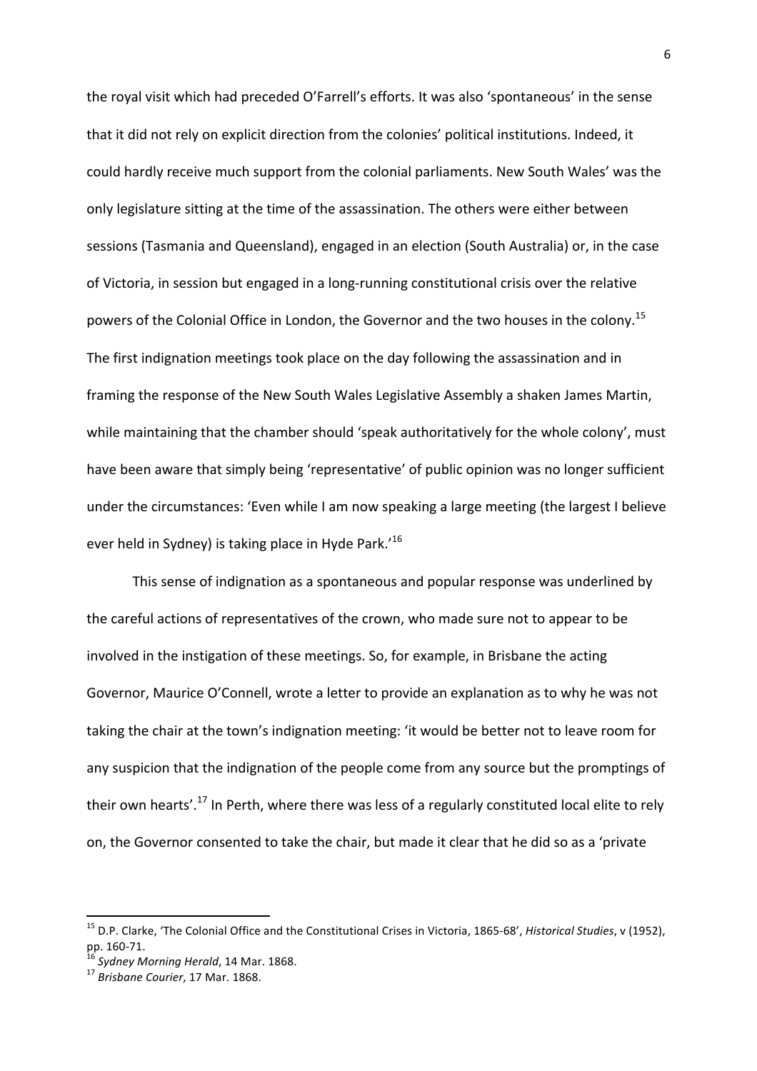the royal visit which had preceded O'Farrell's efforts. It was also 'spontaneous' in the sense that it did not rely on explicit direction from the colonies' political institutions. Indeed, it could hardly receive much support from the colonial parliaments. New South Wales' was the only legislature sitting at the time of the assassination. The others were either between sessions (Tasmania and Queensland), engaged in an election (South Australia) or, in the case of Victoria, in session but engaged in a long-running constitutional crisis over the relative powers of the Colonial Office in London, the Governor and the two houses in the colony.<sup>15</sup> The first indignation meetings took place on the day following the assassination and in framing the response of the New South Wales Legislative Assembly a shaken James Martin, while maintaining that the chamber should 'speak authoritatively for the whole colony', must have been aware that simply being 'representative' of public opinion was no longer sufficient under the circumstances: 'Even while I am now speaking a large meeting (the largest I believe ever held in Sydney) is taking place in Hyde Park.<sup>'16</sup>

This sense of indignation as a spontaneous and popular response was underlined by the careful actions of representatives of the crown, who made sure not to appear to be involved in the instigation of these meetings. So, for example, in Brisbane the acting Governor, Maurice O'Connell, wrote a letter to provide an explanation as to why he was not taking the chair at the town's indignation meeting: 'it would be better not to leave room for any suspicion that the indignation of the people come from any source but the promptings of their own hearts'.<sup>17</sup> In Perth, where there was less of a regularly constituted local elite to rely on, the Governor consented to take the chair, but made it clear that he did so as a 'private

<sup>&</sup>lt;sup>15</sup> D.P. Clarke, 'The Colonial Office and the Constitutional Crises in Victoria, 1865-68', *Historical Studies*, v (1952), pp. 160-71.<br><sup>16</sup> Sydney Morning Herald, 14 Mar. 1868.<br><sup>17</sup> Brisbane Courier, 17 Mar. 1868.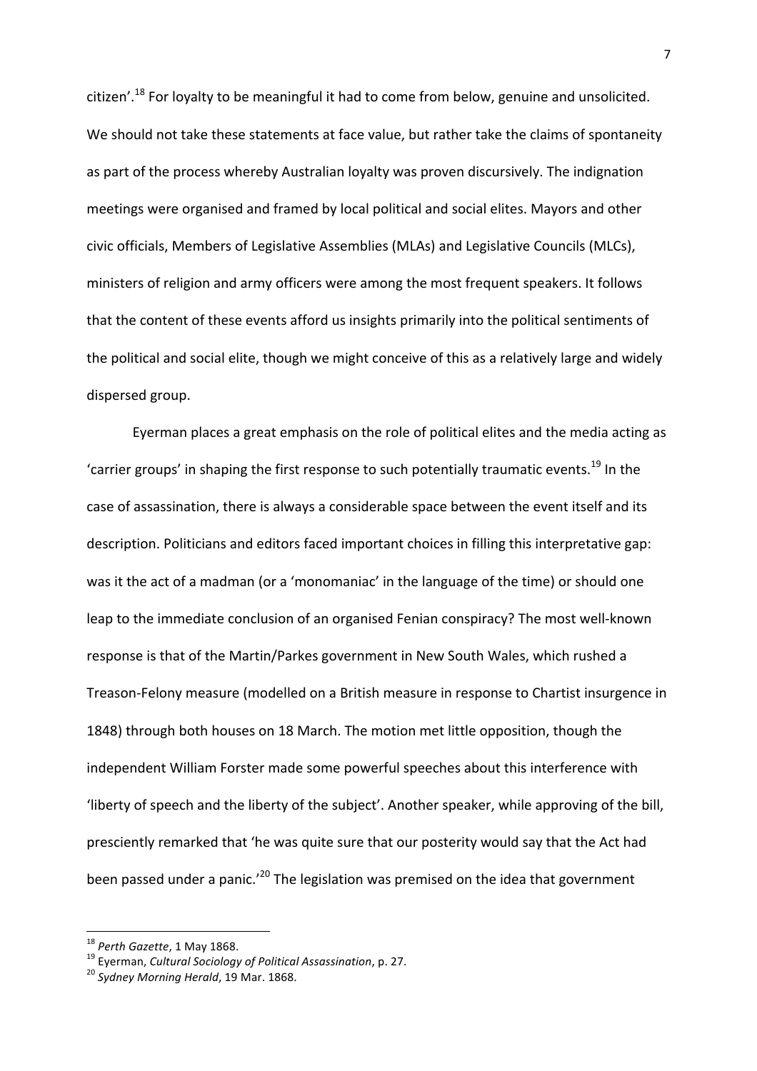citizen'.<sup>18</sup> For loyalty to be meaningful it had to come from below, genuine and unsolicited. We should not take these statements at face value, but rather take the claims of spontaneity as part of the process whereby Australian loyalty was proven discursively. The indignation meetings were organised and framed by local political and social elites. Mayors and other civic officials, Members of Legislative Assemblies (MLAs) and Legislative Councils (MLCs), ministers of religion and army officers were among the most frequent speakers. It follows that the content of these events afford us insights primarily into the political sentiments of the political and social elite, though we might conceive of this as a relatively large and widely dispersed group.

Eyerman places a great emphasis on the role of political elites and the media acting as 'carrier groups' in shaping the first response to such potentially traumatic events.<sup>19</sup> In the case of assassination, there is always a considerable space between the event itself and its description. Politicians and editors faced important choices in filling this interpretative gap: was it the act of a madman (or a 'monomaniac' in the language of the time) or should one leap to the immediate conclusion of an organised Fenian conspiracy? The most well-known response is that of the Martin/Parkes government in New South Wales, which rushed a Treason-Felony measure (modelled on a British measure in response to Chartist insurgence in 1848) through both houses on 18 March. The motion met little opposition, though the independent William Forster made some powerful speeches about this interference with 'liberty of speech and the liberty of the subject'. Another speaker, while approving of the bill, presciently remarked that 'he was quite sure that our posterity would say that the Act had been passed under a panic.<sup>'20</sup> The legislation was premised on the idea that government

<sup>&</sup>lt;sup>18</sup> Perth Gazette, 1 May 1868.<br><sup>19</sup> Eyerman, *Cultural Sociology of Political Assassination*, p. 27.<br><sup>20</sup> Sydney Morning Herald, 19 Mar. 1868.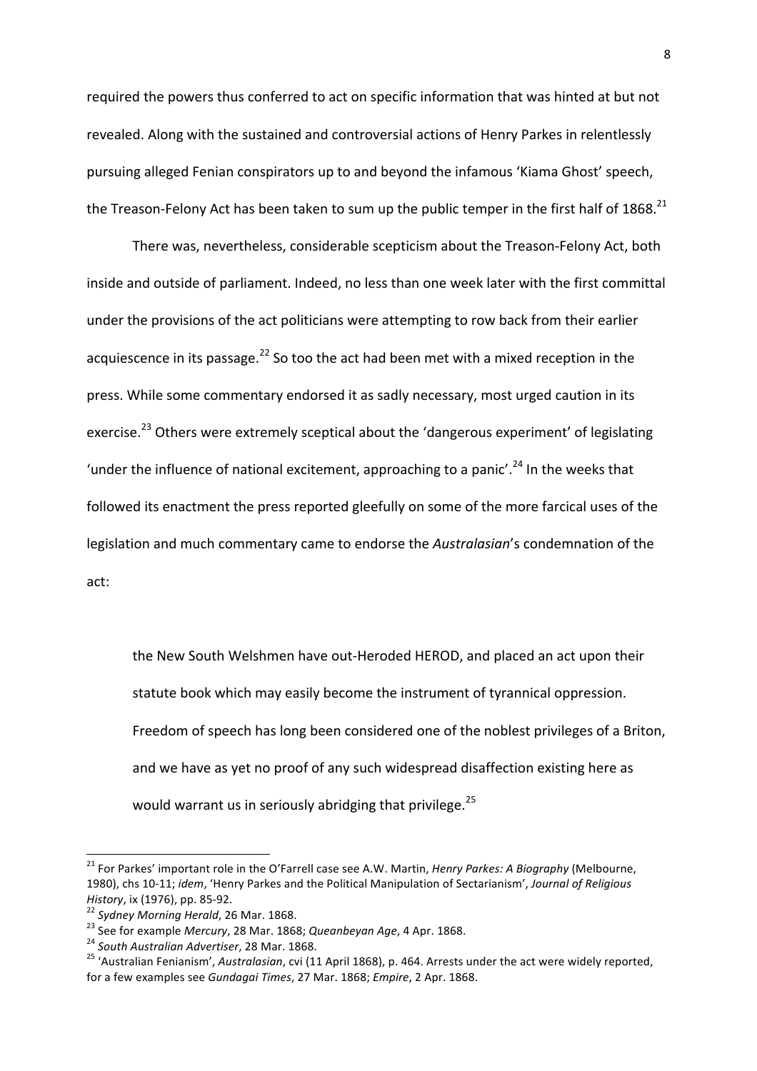required the powers thus conferred to act on specific information that was hinted at but not revealed. Along with the sustained and controversial actions of Henry Parkes in relentlessly pursuing alleged Fenian conspirators up to and beyond the infamous 'Kiama Ghost' speech, the Treason-Felony Act has been taken to sum up the public temper in the first half of 1868.<sup>21</sup>

There was, nevertheless, considerable scepticism about the Treason-Felony Act, both inside and outside of parliament. Indeed, no less than one week later with the first committal under the provisions of the act politicians were attempting to row back from their earlier acquiescence in its passage.<sup>22</sup> So too the act had been met with a mixed reception in the press. While some commentary endorsed it as sadly necessary, most urged caution in its exercise.<sup>23</sup> Others were extremely sceptical about the 'dangerous experiment' of legislating 'under the influence of national excitement, approaching to a panic'.<sup>24</sup> In the weeks that followed its enactment the press reported gleefully on some of the more farcical uses of the legislation and much commentary came to endorse the *Australasian's* condemnation of the act: 

the New South Welshmen have out-Heroded HEROD, and placed an act upon their statute book which may easily become the instrument of tyrannical oppression. Freedom of speech has long been considered one of the noblest privileges of a Briton, and we have as yet no proof of any such widespread disaffection existing here as would warrant us in seriously abridging that privilege.<sup>25</sup>

<sup>&</sup>lt;sup>21</sup> For Parkes' important role in the O'Farrell case see A.W. Martin, *Henry Parkes: A Biography* (Melbourne, 1980), chs 10-11; *idem*, 'Henry Parkes and the Political Manipulation of Sectarianism', *Journal of Religious* 

History, ix (1976), pp. 85-92.<br><sup>22</sup> Sydney Morning Herald, 26 Mar. 1868.<br><sup>23</sup> See for example Mercury, 28 Mar. 1868; Queanbeyan Age, 4 Apr. 1868.<br><sup>24</sup> South Australian Advertiser, 28 Mar. 1868.<br><sup>25</sup> 'Australian Fenianism', for a few examples see *Gundagai Times*, 27 Mar. 1868; *Empire*, 2 Apr. 1868.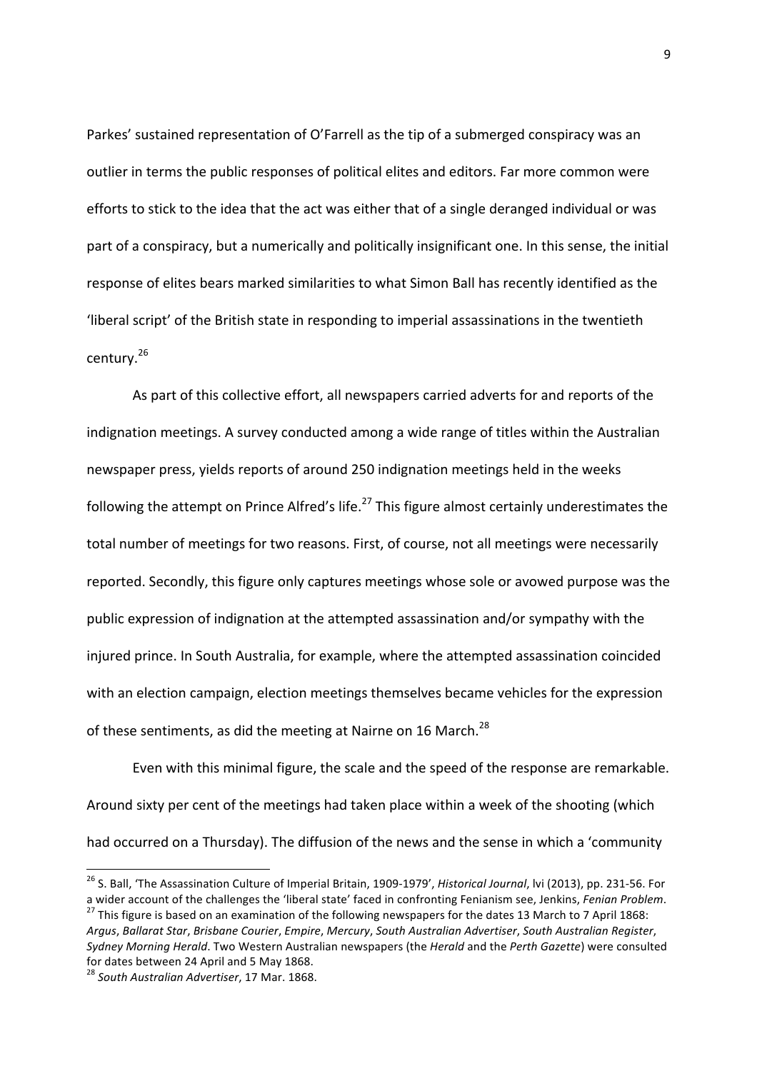Parkes' sustained representation of O'Farrell as the tip of a submerged conspiracy was an outlier in terms the public responses of political elites and editors. Far more common were efforts to stick to the idea that the act was either that of a single deranged individual or was part of a conspiracy, but a numerically and politically insignificant one. In this sense, the initial response of elites bears marked similarities to what Simon Ball has recently identified as the 'liberal script' of the British state in responding to imperial assassinations in the twentieth century.<sup>26</sup>

As part of this collective effort, all newspapers carried adverts for and reports of the indignation meetings. A survey conducted among a wide range of titles within the Australian newspaper press, yields reports of around 250 indignation meetings held in the weeks following the attempt on Prince Alfred's life.<sup>27</sup> This figure almost certainly underestimates the total number of meetings for two reasons. First, of course, not all meetings were necessarily reported. Secondly, this figure only captures meetings whose sole or avowed purpose was the public expression of indignation at the attempted assassination and/or sympathy with the injured prince. In South Australia, for example, where the attempted assassination coincided with an election campaign, election meetings themselves became vehicles for the expression of these sentiments, as did the meeting at Nairne on 16 March.<sup>28</sup>

Even with this minimal figure, the scale and the speed of the response are remarkable. Around sixty per cent of the meetings had taken place within a week of the shooting (which had occurred on a Thursday). The diffusion of the news and the sense in which a 'community

<sup>&</sup>lt;sup>26</sup> S. Ball, 'The Assassination Culture of Imperial Britain, 1909-1979', *Historical Journal*, lvi (2013), pp. 231-56. For a wider account of the challenges the 'liberal state' faced in confronting Fenianism see, Jenkins, Fenian Problem.<br><sup>27</sup> This figure is based on an examination of the following newspapers for the dates 13 March to 7 April *Argus*, *Ballarat Star*, *Brisbane Courier*, *Empire*, *Mercury*, *South Australian Advertiser*, *South Australian Register*,

*Sydney Morning Herald*. Two Western Australian newspapers (the *Herald* and the *Perth Gazette*) were consulted for dates between 24 April and 5 May 1868.<br><sup>28</sup> South Australian Advertiser, 17 Mar. 1868.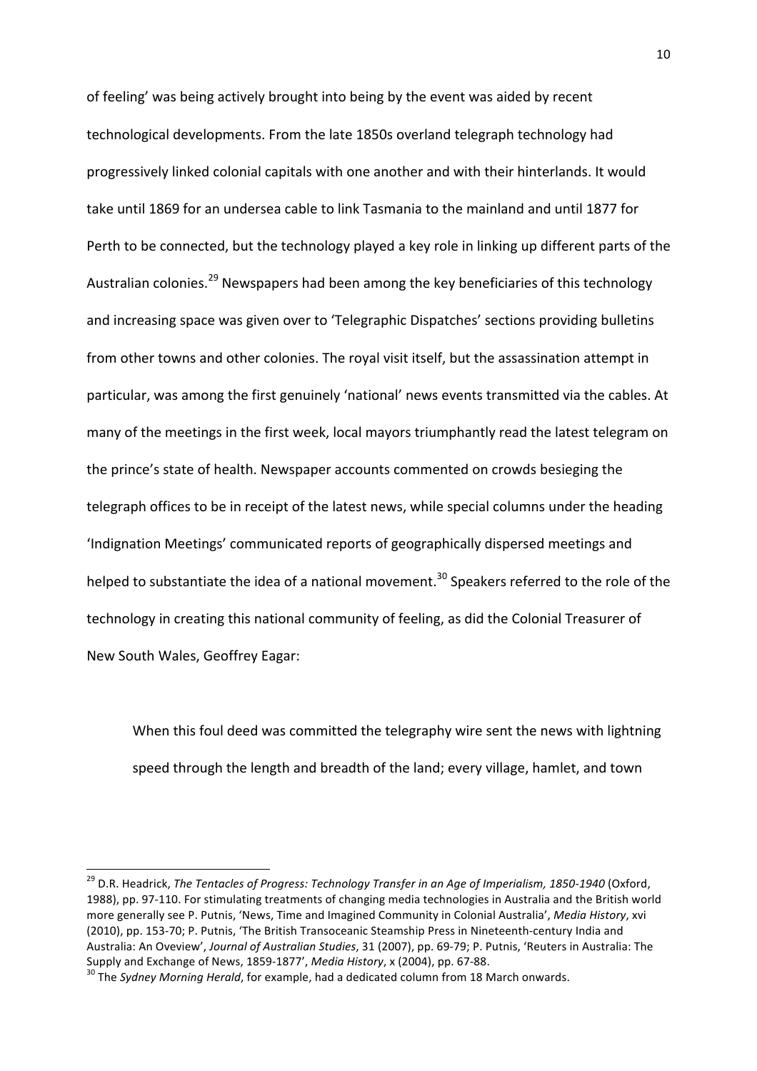of feeling' was being actively brought into being by the event was aided by recent technological developments. From the late 1850s overland telegraph technology had progressively linked colonial capitals with one another and with their hinterlands. It would take until 1869 for an undersea cable to link Tasmania to the mainland and until 1877 for Perth to be connected, but the technology played a key role in linking up different parts of the Australian colonies.<sup>29</sup> Newspapers had been among the key beneficiaries of this technology and increasing space was given over to 'Telegraphic Dispatches' sections providing bulletins from other towns and other colonies. The royal visit itself, but the assassination attempt in particular, was among the first genuinely 'national' news events transmitted via the cables. At many of the meetings in the first week, local mayors triumphantly read the latest telegram on the prince's state of health. Newspaper accounts commented on crowds besieging the telegraph offices to be in receipt of the latest news, while special columns under the heading 'Indignation Meetings' communicated reports of geographically dispersed meetings and helped to substantiate the idea of a national movement.<sup>30</sup> Speakers referred to the role of the technology in creating this national community of feeling, as did the Colonial Treasurer of New South Wales, Geoffrey Eagar:

When this foul deed was committed the telegraphy wire sent the news with lightning speed through the length and breadth of the land; every village, hamlet, and town

<sup>&</sup>lt;sup>29</sup> D.R. Headrick, *The Tentacles of Progress: Technology Transfer in an Age of Imperialism, 1850-1940* (Oxford, 1988), pp. 97-110. For stimulating treatments of changing media technologies in Australia and the British world more generally see P. Putnis, 'News, Time and Imagined Community in Colonial Australia', *Media History*, xvi (2010), pp. 153-70; P. Putnis, 'The British Transoceanic Steamship Press in Nineteenth-century India and Australia: An Oveview', Journal of Australian Studies, 31 (2007), pp. 69-79; P. Putnis, 'Reuters in Australia: The Supply and Exchange of News, 1859-1877', *Media History*, x (2004), pp. 67-88.<br><sup>30</sup> The *Sydney Morning Herald*, for example, had a dedicated column from 18 March onwards.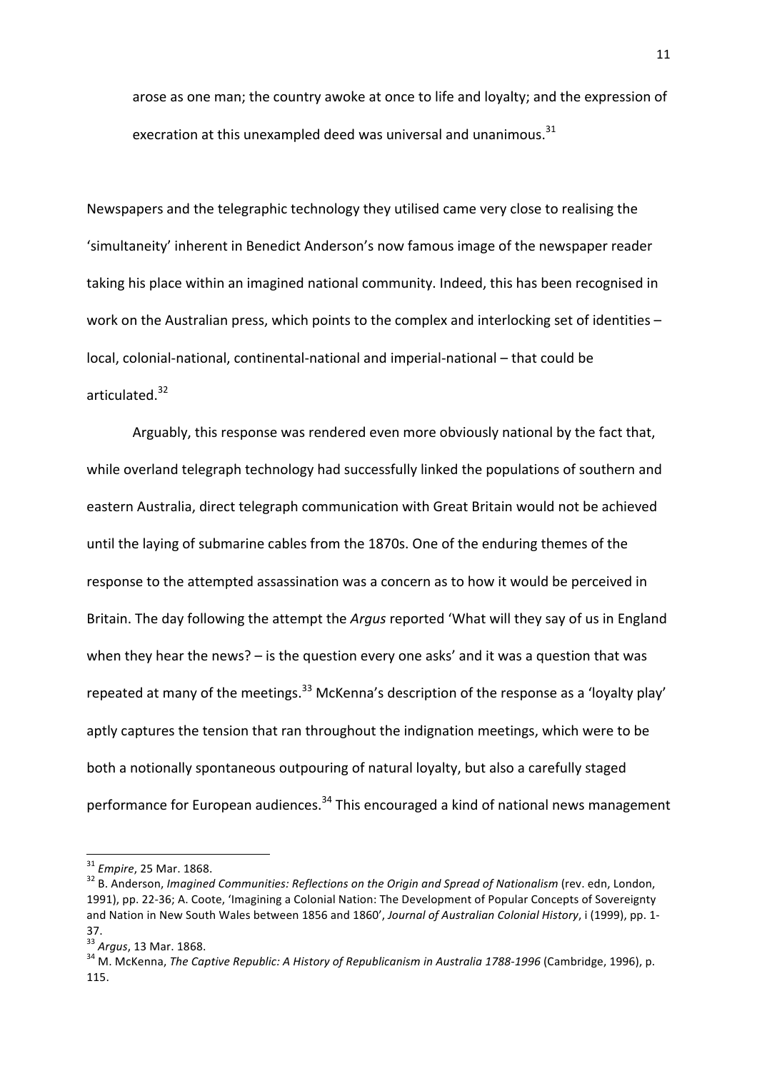arose as one man; the country awoke at once to life and loyalty; and the expression of execration at this unexampled deed was universal and unanimous. $31$ 

Newspapers and the telegraphic technology they utilised came very close to realising the 'simultaneity' inherent in Benedict Anderson's now famous image of the newspaper reader taking his place within an imagined national community. Indeed, this has been recognised in work on the Australian press, which points to the complex and interlocking set of identities local, colonial-national, continental-national and imperial-national – that could be articulated.<sup>32</sup>

Arguably, this response was rendered even more obviously national by the fact that, while overland telegraph technology had successfully linked the populations of southern and eastern Australia, direct telegraph communication with Great Britain would not be achieved until the laying of submarine cables from the 1870s. One of the enduring themes of the response to the attempted assassination was a concern as to how it would be perceived in Britain. The day following the attempt the *Argus* reported 'What will they say of us in England when they hear the news?  $-$  is the question every one asks' and it was a question that was repeated at many of the meetings.<sup>33</sup> McKenna's description of the response as a 'loyalty play' aptly captures the tension that ran throughout the indignation meetings, which were to be both a notionally spontaneous outpouring of natural loyalty, but also a carefully staged performance for European audiences.<sup>34</sup> This encouraged a kind of national news management

<sup>&</sup>lt;sup>31</sup> Empire, 25 Mar. 1868.<br><sup>32</sup> B. Anderson, *Imagined Communities: Reflections on the Origin and Spread of Nationalism* (rev. edn, London, 1991), pp. 22-36; A. Coote, 'Imagining a Colonial Nation: The Development of Popular Concepts of Sovereignty and Nation in New South Wales between 1856 and 1860', *Journal of Australian Colonial History*, i (1999), pp. 1-37.<br><sup>33</sup> Argus, 13 Mar. 1868.

<sup>&</sup>lt;sup>34</sup> M. McKenna, *The Captive Republic: A History of Republicanism in Australia 1788-1996* (Cambridge, 1996), p. 115.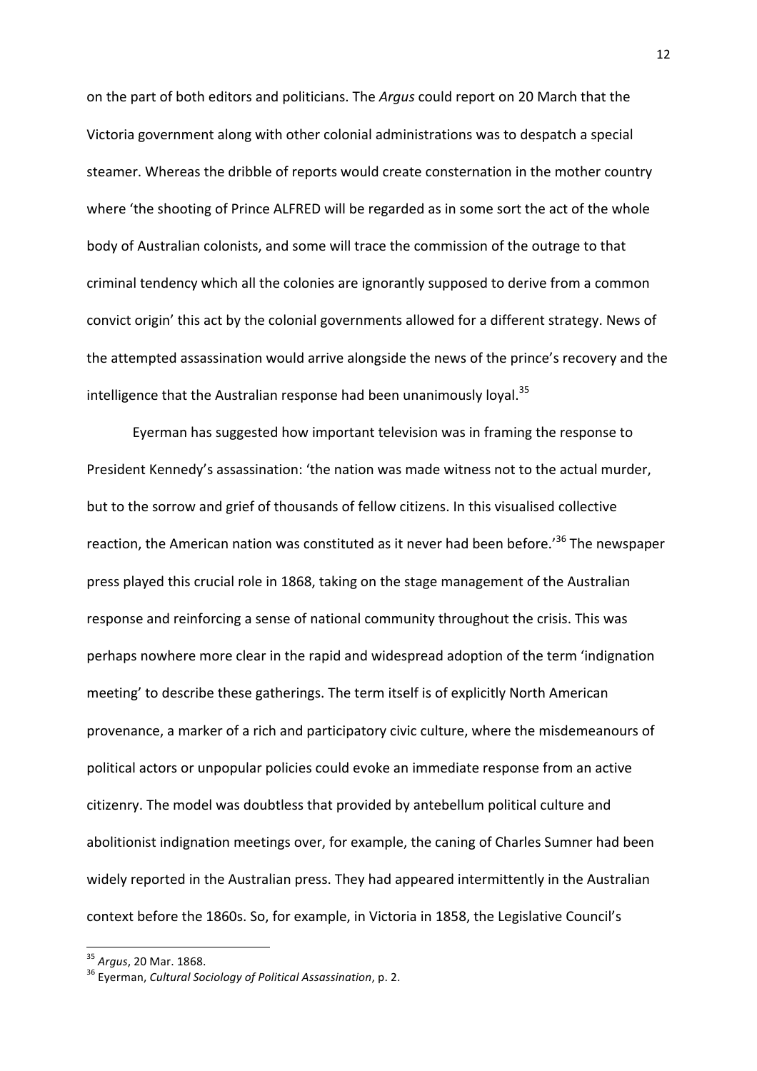on the part of both editors and politicians. The *Argus* could report on 20 March that the Victoria government along with other colonial administrations was to despatch a special steamer. Whereas the dribble of reports would create consternation in the mother country where 'the shooting of Prince ALFRED will be regarded as in some sort the act of the whole body of Australian colonists, and some will trace the commission of the outrage to that criminal tendency which all the colonies are ignorantly supposed to derive from a common convict origin' this act by the colonial governments allowed for a different strategy. News of the attempted assassination would arrive alongside the news of the prince's recovery and the intelligence that the Australian response had been unanimously loyal.<sup>35</sup>

Eyerman has suggested how important television was in framing the response to President Kennedy's assassination: 'the nation was made witness not to the actual murder, but to the sorrow and grief of thousands of fellow citizens. In this visualised collective reaction, the American nation was constituted as it never had been before.<sup>'36</sup> The newspaper press played this crucial role in 1868, taking on the stage management of the Australian response and reinforcing a sense of national community throughout the crisis. This was perhaps nowhere more clear in the rapid and widespread adoption of the term 'indignation meeting' to describe these gatherings. The term itself is of explicitly North American provenance, a marker of a rich and participatory civic culture, where the misdemeanours of political actors or unpopular policies could evoke an immediate response from an active citizenry. The model was doubtless that provided by antebellum political culture and abolitionist indignation meetings over, for example, the caning of Charles Sumner had been widely reported in the Australian press. They had appeared intermittently in the Australian context before the 1860s. So, for example, in Victoria in 1858, the Legislative Council's

 

<sup>&</sup>lt;sup>35</sup> Argus, 20 Mar. 1868.<br><sup>36</sup> Everman, *Cultural Sociology of Political Assassination*, p. 2.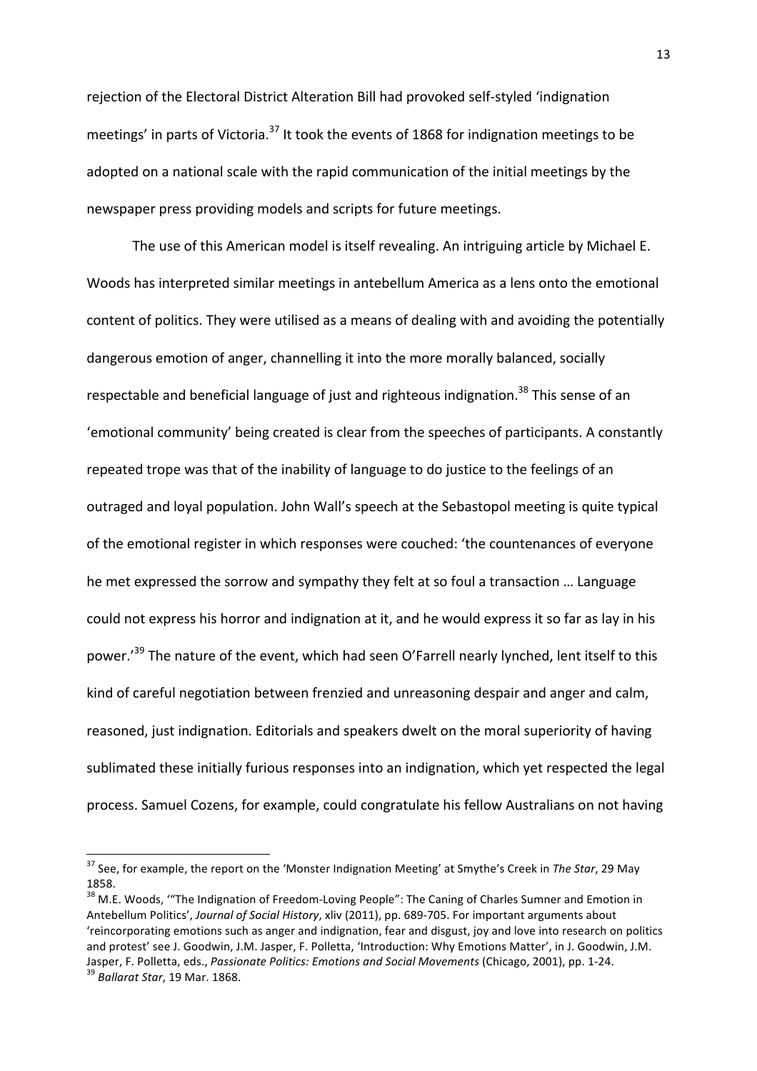rejection of the Electoral District Alteration Bill had provoked self-styled 'indignation meetings' in parts of Victoria.<sup>37</sup> It took the events of 1868 for indignation meetings to be adopted on a national scale with the rapid communication of the initial meetings by the newspaper press providing models and scripts for future meetings.

The use of this American model is itself revealing. An intriguing article by Michael E. Woods has interpreted similar meetings in antebellum America as a lens onto the emotional content of politics. They were utilised as a means of dealing with and avoiding the potentially dangerous emotion of anger, channelling it into the more morally balanced, socially respectable and beneficial language of just and righteous indignation.<sup>38</sup> This sense of an 'emotional community' being created is clear from the speeches of participants. A constantly repeated trope was that of the inability of language to do justice to the feelings of an outraged and loyal population. John Wall's speech at the Sebastopol meeting is quite typical of the emotional register in which responses were couched: 'the countenances of everyone he met expressed the sorrow and sympathy they felt at so foul a transaction ... Language could not express his horror and indignation at it, and he would express it so far as lay in his power.<sup>'39</sup> The nature of the event, which had seen O'Farrell nearly lynched, lent itself to this kind of careful negotiation between frenzied and unreasoning despair and anger and calm, reasoned, just indignation. Editorials and speakers dwelt on the moral superiority of having sublimated these initially furious responses into an indignation, which yet respected the legal process. Samuel Cozens, for example, could congratulate his fellow Australians on not having

<sup>&</sup>lt;sup>37</sup> See, for example, the report on the 'Monster Indignation Meeting' at Smythe's Creek in The Star, 29 May 1858.

<sup>&</sup>lt;sup>38</sup> M.E. Woods, "The Indignation of Freedom-Loving People": The Caning of Charles Sumner and Emotion in Antebellum Politics', Journal of Social History, xliv (2011), pp. 689-705. For important arguments about 'reincorporating emotions such as anger and indignation, fear and disgust, joy and love into research on politics and protest' see J. Goodwin, J.M. Jasper, F. Polletta, 'Introduction: Why Emotions Matter', in J. Goodwin, J.M. Jasper, F. Polletta, eds., *Passionate Politics: Emotions and Social Movements* (Chicago, 2001), pp. 1-24. <sup>39</sup> *Ballarat Star*, 19 Mar. 1868.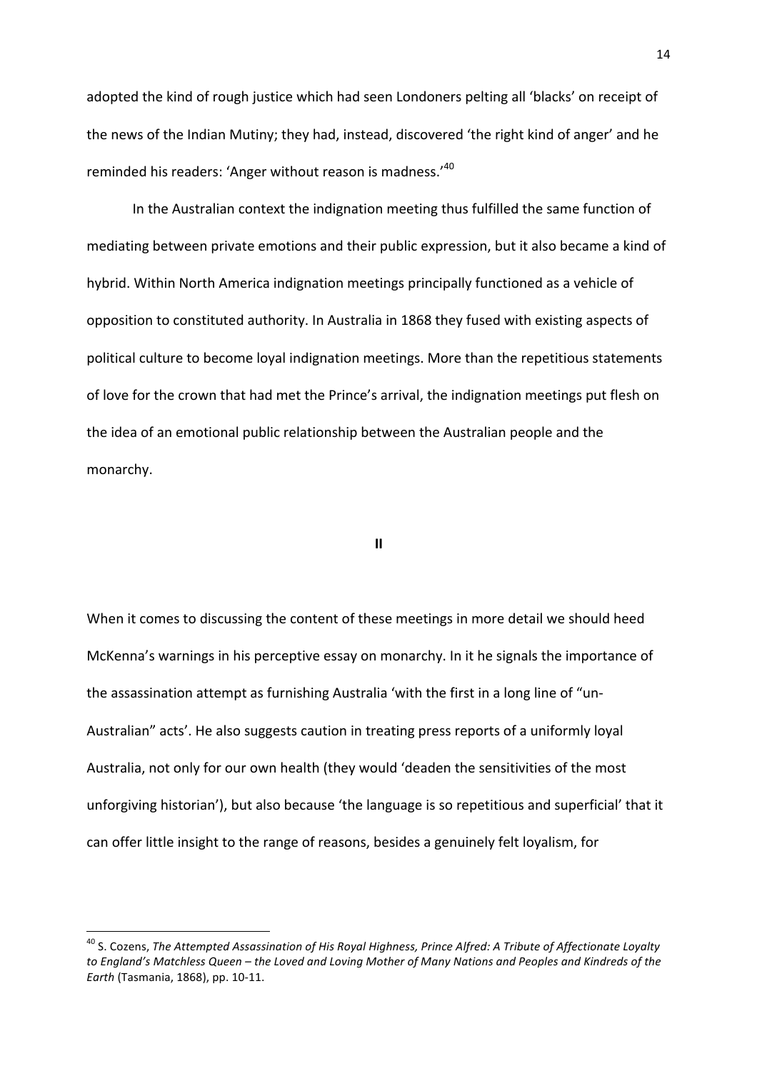adopted the kind of rough justice which had seen Londoners pelting all 'blacks' on receipt of the news of the Indian Mutiny; they had, instead, discovered 'the right kind of anger' and he reminded his readers: 'Anger without reason is madness.'<sup>40</sup>

In the Australian context the indignation meeting thus fulfilled the same function of mediating between private emotions and their public expression, but it also became a kind of hybrid. Within North America indignation meetings principally functioned as a vehicle of opposition to constituted authority. In Australia in 1868 they fused with existing aspects of political culture to become loyal indignation meetings. More than the repetitious statements of love for the crown that had met the Prince's arrival, the indignation meetings put flesh on the idea of an emotional public relationship between the Australian people and the monarchy.

**II**

When it comes to discussing the content of these meetings in more detail we should heed McKenna's warnings in his perceptive essay on monarchy. In it he signals the importance of the assassination attempt as furnishing Australia 'with the first in a long line of "un-Australian" acts'. He also suggests caution in treating press reports of a uniformly loyal Australia, not only for our own health (they would 'deaden the sensitivities of the most unforgiving historian'), but also because 'the language is so repetitious and superficial' that it can offer little insight to the range of reasons, besides a genuinely felt loyalism, for

<sup>&</sup>lt;sup>40</sup> S. Cozens, The Attempted Assassination of His Royal Highness, Prince Alfred: A Tribute of Affectionate Loyalty to England's Matchless Queen – the Loved and Loving Mother of Many Nations and Peoples and Kindreds of the *Earth* (Tasmania, 1868), pp. 10-11.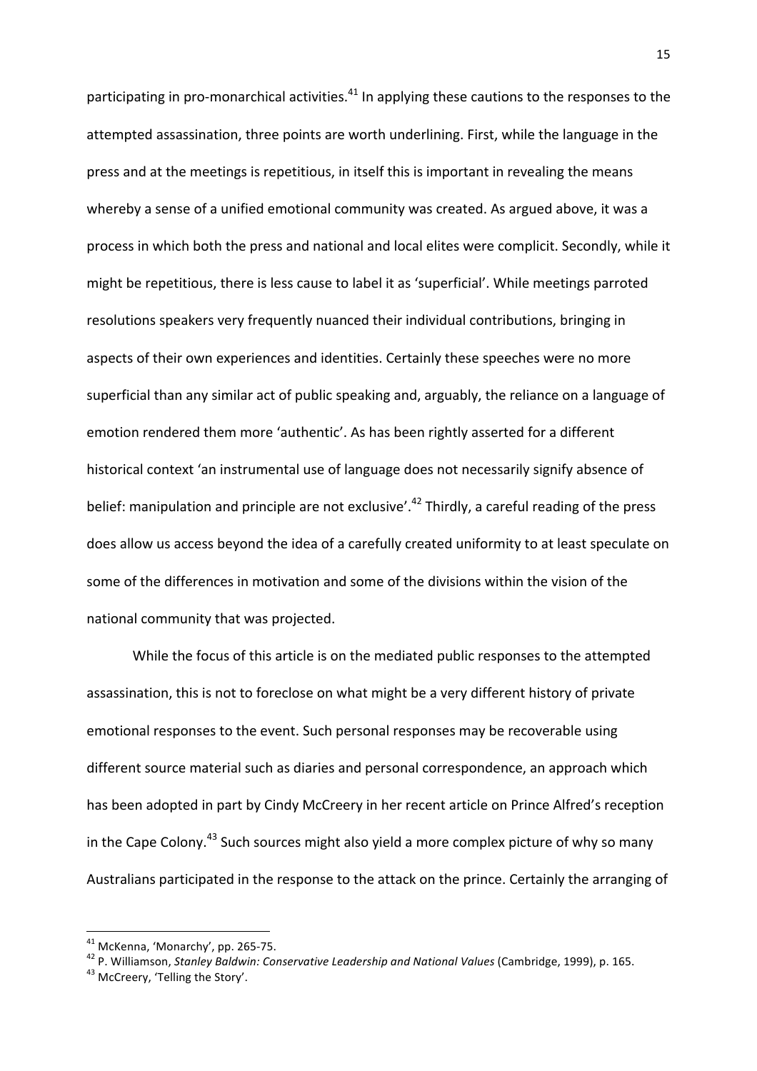participating in pro-monarchical activities.<sup>41</sup> In applying these cautions to the responses to the attempted assassination, three points are worth underlining. First, while the language in the press and at the meetings is repetitious, in itself this is important in revealing the means whereby a sense of a unified emotional community was created. As argued above, it was a process in which both the press and national and local elites were complicit. Secondly, while it might be repetitious, there is less cause to label it as 'superficial'. While meetings parroted resolutions speakers very frequently nuanced their individual contributions, bringing in aspects of their own experiences and identities. Certainly these speeches were no more superficial than any similar act of public speaking and, arguably, the reliance on a language of emotion rendered them more 'authentic'. As has been rightly asserted for a different historical context 'an instrumental use of language does not necessarily signify absence of belief: manipulation and principle are not exclusive'.<sup>42</sup> Thirdly, a careful reading of the press does allow us access beyond the idea of a carefully created uniformity to at least speculate on some of the differences in motivation and some of the divisions within the vision of the national community that was projected.

While the focus of this article is on the mediated public responses to the attempted assassination, this is not to foreclose on what might be a very different history of private emotional responses to the event. Such personal responses may be recoverable using different source material such as diaries and personal correspondence, an approach which has been adopted in part by Cindy McCreery in her recent article on Prince Alfred's reception in the Cape Colony.<sup>43</sup> Such sources might also vield a more complex picture of why so many Australians participated in the response to the attack on the prince. Certainly the arranging of

<sup>&</sup>lt;u> 1989 - Johann Stein, fransk politik (d. 1989)</u>

<sup>&</sup>lt;sup>41</sup> McKenna, 'Monarchy', pp. 265-75.<br><sup>42</sup> P. Williamson, *Stanley Baldwin: Conservative Leadership and National Values* (Cambridge, 1999), p. 165.<br><sup>43</sup> McCreery, 'Telling the Story'.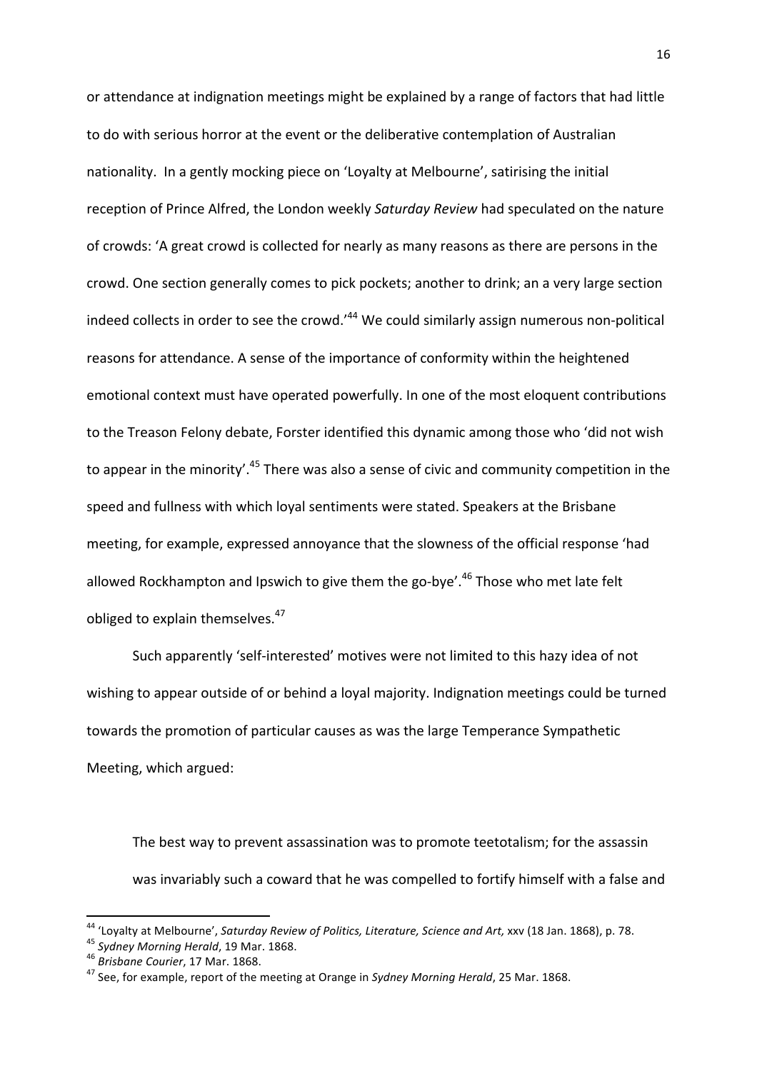or attendance at indignation meetings might be explained by a range of factors that had little to do with serious horror at the event or the deliberative contemplation of Australian nationality. In a gently mocking piece on 'Loyalty at Melbourne', satirising the initial reception of Prince Alfred, the London weekly Saturday Review had speculated on the nature of crowds: 'A great crowd is collected for nearly as many reasons as there are persons in the crowd. One section generally comes to pick pockets; another to drink; an a very large section indeed collects in order to see the crowd. $144}$  We could similarly assign numerous non-political reasons for attendance. A sense of the importance of conformity within the heightened emotional context must have operated powerfully. In one of the most eloquent contributions to the Treason Felony debate, Forster identified this dynamic among those who 'did not wish to appear in the minority'.<sup>45</sup> There was also a sense of civic and community competition in the speed and fullness with which loyal sentiments were stated. Speakers at the Brisbane meeting, for example, expressed annoyance that the slowness of the official response 'had allowed Rockhampton and Ipswich to give them the go-bye'.<sup>46</sup> Those who met late felt obliged to explain themselves.<sup>47</sup>

Such apparently 'self-interested' motives were not limited to this hazy idea of not wishing to appear outside of or behind a loyal majority. Indignation meetings could be turned towards the promotion of particular causes as was the large Temperance Sympathetic Meeting, which argued:

The best way to prevent assassination was to promote teetotalism; for the assassin was invariably such a coward that he was compelled to fortify himself with a false and

<sup>&</sup>lt;sup>44</sup> 'Loyalty at Melbourne', Saturday Review of Politics, Literature, Science and Art, xxv (18 Jan. 1868), p. 78.<br><sup>45</sup> Sydney Morning Herald, 19 Mar. 1868.<br><sup>46</sup> Brisbane Courier, 17 Mar. 1868.<br><sup>47</sup> See, for example, repor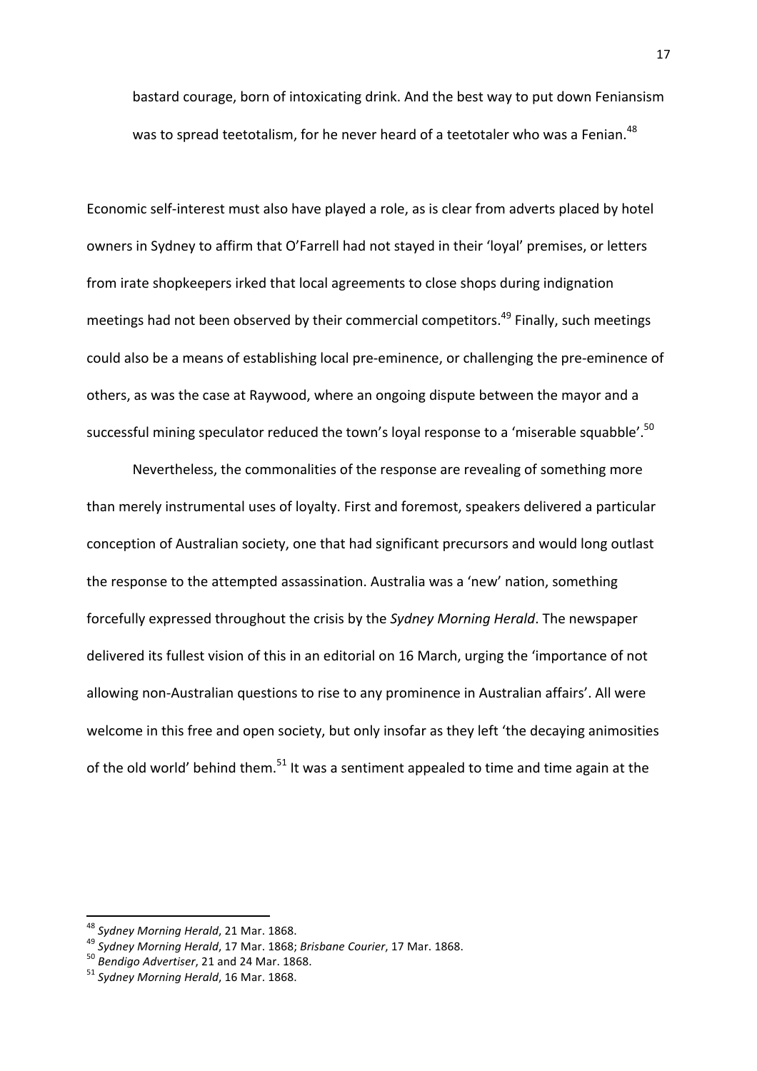bastard courage, born of intoxicating drink. And the best way to put down Feniansism was to spread teetotalism, for he never heard of a teetotaler who was a Fenian.<sup>48</sup>

Economic self-interest must also have played a role, as is clear from adverts placed by hotel owners in Sydney to affirm that O'Farrell had not stayed in their 'loyal' premises, or letters from irate shopkeepers irked that local agreements to close shops during indignation meetings had not been observed by their commercial competitors.<sup>49</sup> Finally, such meetings could also be a means of establishing local pre-eminence, or challenging the pre-eminence of others, as was the case at Raywood, where an ongoing dispute between the mayor and a successful mining speculator reduced the town's loyal response to a 'miserable squabble'.<sup>50</sup>

Nevertheless, the commonalities of the response are revealing of something more than merely instrumental uses of loyalty. First and foremost, speakers delivered a particular conception of Australian society, one that had significant precursors and would long outlast the response to the attempted assassination. Australia was a 'new' nation, something forcefully expressed throughout the crisis by the *Sydney Morning Herald*. The newspaper delivered its fullest vision of this in an editorial on 16 March, urging the 'importance of not allowing non-Australian questions to rise to any prominence in Australian affairs'. All were welcome in this free and open society, but only insofar as they left 'the decaying animosities of the old world' behind them.<sup>51</sup> It was a sentiment appealed to time and time again at the

<sup>&</sup>lt;sup>48</sup> Sydney Morning Herald, 21 Mar. 1868.<br><sup>49</sup> Sydney Morning Herald, 17 Mar. 1868; Brisbane Courier, 17 Mar. 1868.<br><sup>50</sup> Bendigo Advertiser, 21 and 24 Mar. 1868.<br><sup>51</sup> Sydney Morning Herald, 16 Mar. 1868.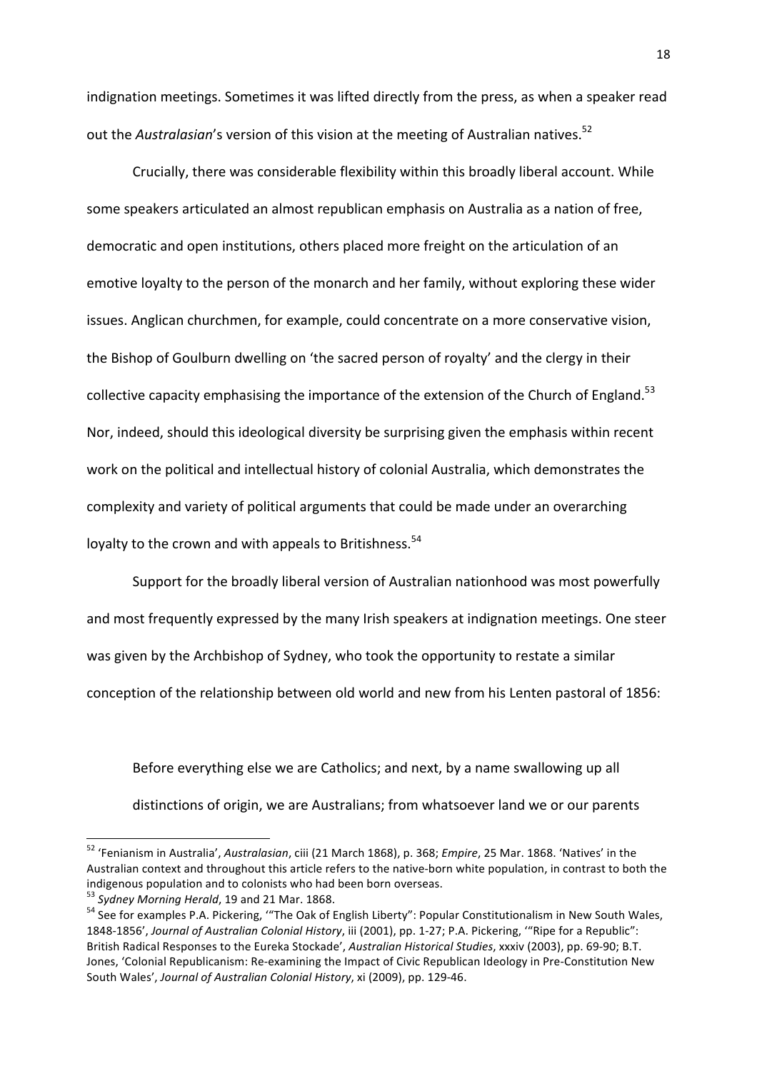indignation meetings. Sometimes it was lifted directly from the press, as when a speaker read out the *Australasian's* version of this vision at the meeting of Australian natives.<sup>52</sup>

Crucially, there was considerable flexibility within this broadly liberal account. While some speakers articulated an almost republican emphasis on Australia as a nation of free, democratic and open institutions, others placed more freight on the articulation of an emotive loyalty to the person of the monarch and her family, without exploring these wider issues. Anglican churchmen, for example, could concentrate on a more conservative vision, the Bishop of Goulburn dwelling on 'the sacred person of royalty' and the clergy in their collective capacity emphasising the importance of the extension of the Church of England.<sup>53</sup> Nor, indeed, should this ideological diversity be surprising given the emphasis within recent work on the political and intellectual history of colonial Australia, which demonstrates the complexity and variety of political arguments that could be made under an overarching loyalty to the crown and with appeals to Britishness.<sup>54</sup>

Support for the broadly liberal version of Australian nationhood was most powerfully and most frequently expressed by the many Irish speakers at indignation meetings. One steer was given by the Archbishop of Sydney, who took the opportunity to restate a similar conception of the relationship between old world and new from his Lenten pastoral of 1856:

Before everything else we are Catholics; and next, by a name swallowing up all distinctions of origin, we are Australians; from whatsoever land we or our parents

 

<sup>&</sup>lt;sup>52</sup> 'Fenianism in Australia', Australasian, ciii (21 March 1868), p. 368; *Empire*, 25 Mar. 1868. 'Natives' in the Australian context and throughout this article refers to the native-born white population, in contrast to both the indigenous population and to colonists who had been born overseas.<br>  $53$  Svdney Morning Herald, 19 and 21 Mar. 1868.

<sup>&</sup>lt;sup>54</sup> See for examples P.A. Pickering, "The Oak of English Liberty": Popular Constitutionalism in New South Wales, 1848-1856', Journal of Australian Colonial History, iii (2001), pp. 1-27; P.A. Pickering, "Ripe for a Republic": British Radical Responses to the Eureka Stockade', *Australian Historical Studies*, xxxiv (2003), pp. 69-90; B.T. Jones, 'Colonial Republicanism: Re-examining the Impact of Civic Republican Ideology in Pre-Constitution New South Wales', Journal of Australian Colonial History, xi (2009), pp. 129-46.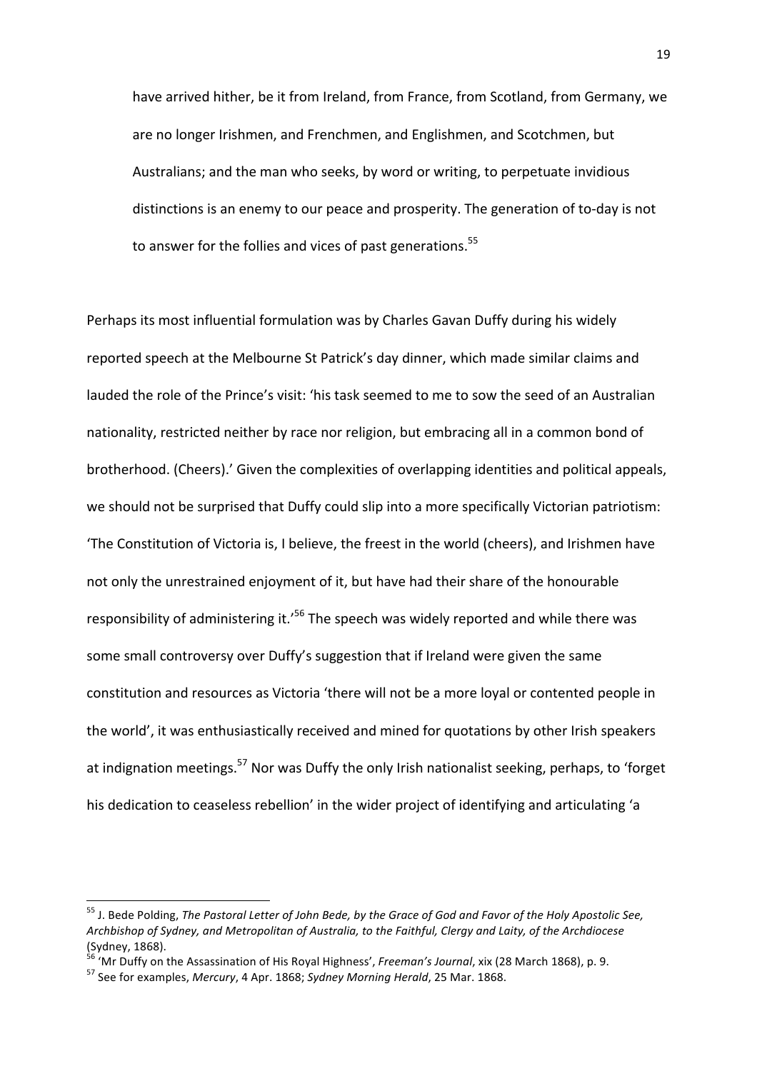have arrived hither, be it from Ireland, from France, from Scotland, from Germany, we are no longer Irishmen, and Frenchmen, and Englishmen, and Scotchmen, but Australians; and the man who seeks, by word or writing, to perpetuate invidious distinctions is an enemy to our peace and prosperity. The generation of to-day is not to answer for the follies and vices of past generations.<sup>55</sup>

Perhaps its most influential formulation was by Charles Gavan Duffy during his widely reported speech at the Melbourne St Patrick's day dinner, which made similar claims and lauded the role of the Prince's visit: 'his task seemed to me to sow the seed of an Australian nationality, restricted neither by race nor religion, but embracing all in a common bond of brotherhood. (Cheers).' Given the complexities of overlapping identities and political appeals, we should not be surprised that Duffy could slip into a more specifically Victorian patriotism: 'The Constitution of Victoria is, I believe, the freest in the world (cheers), and Irishmen have not only the unrestrained enjoyment of it, but have had their share of the honourable responsibility of administering it.<sup>'56</sup> The speech was widely reported and while there was some small controversy over Duffy's suggestion that if Ireland were given the same constitution and resources as Victoria 'there will not be a more loyal or contented people in the world', it was enthusiastically received and mined for quotations by other Irish speakers at indignation meetings.<sup>57</sup> Nor was Duffy the only Irish nationalist seeking, perhaps, to 'forget his dedication to ceaseless rebellion' in the wider project of identifying and articulating 'a

 

<sup>&</sup>lt;sup>55</sup> J. Bede Polding, *The Pastoral Letter of John Bede, by the Grace of God and Favor of the Holy Apostolic See, Archbishop of Sydney, and Metropolitan of Australia, to the Faithful, Clergy and Laity, of the Archdiocese*  $(Sy$ dney, 1868).

<sup>&</sup>lt;sup>56</sup> 'Mr Duffy on the Assassination of His Royal Highness', *Freeman's Journal*, xix (28 March 1868), p. 9.<br><sup>57</sup> See for examples, *Mercury*, 4 Apr. 1868; *Sydney Morning Herald*, 25 Mar. 1868.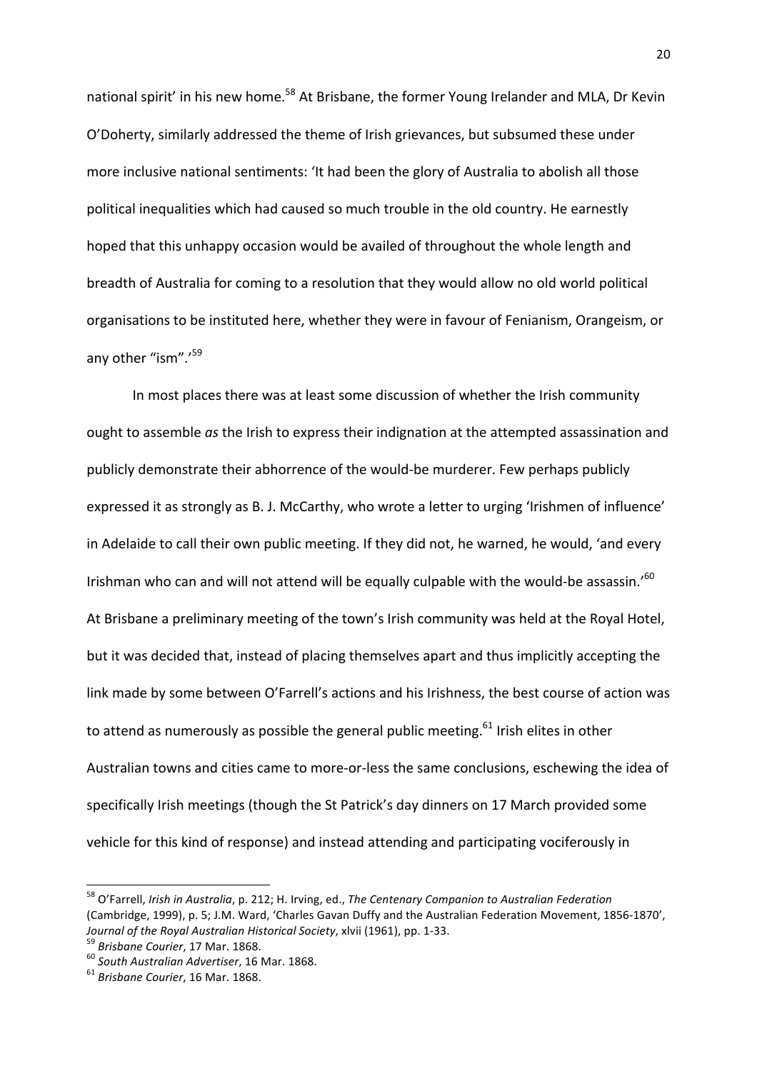national spirit' in his new home.<sup>58</sup> At Brisbane, the former Young Irelander and MLA, Dr Kevin O'Doherty, similarly addressed the theme of Irish grievances, but subsumed these under more inclusive national sentiments: 'It had been the glory of Australia to abolish all those political inequalities which had caused so much trouble in the old country. He earnestly hoped that this unhappy occasion would be availed of throughout the whole length and breadth of Australia for coming to a resolution that they would allow no old world political organisations to be instituted here, whether they were in favour of Fenianism, Orangeism, or any other "ism".<sup>'59</sup>

In most places there was at least some discussion of whether the Irish community ought to assemble *as* the Irish to express their indignation at the attempted assassination and publicly demonstrate their abhorrence of the would-be murderer. Few perhaps publicly expressed it as strongly as B. J. McCarthy, who wrote a letter to urging 'Irishmen of influence' in Adelaide to call their own public meeting. If they did not, he warned, he would, 'and every Irishman who can and will not attend will be equally culpable with the would-be assassin.'<sup>60</sup> At Brisbane a preliminary meeting of the town's Irish community was held at the Royal Hotel, but it was decided that, instead of placing themselves apart and thus implicitly accepting the link made by some between O'Farrell's actions and his Irishness, the best course of action was to attend as numerously as possible the general public meeting.<sup>61</sup> Irish elites in other Australian towns and cities came to more-or-less the same conclusions, eschewing the idea of specifically Irish meetings (though the St Patrick's day dinners on 17 March provided some vehicle for this kind of response) and instead attending and participating vociferously in

<sup>&</sup>lt;sup>58</sup> O'Farrell, *Irish in Australia*, p. 212; H. Irving, ed., The Centenary Companion to Australian Federation (Cambridge, 1999), p. 5; J.M. Ward, 'Charles Gavan Duffy and the Australian Federation Movement, 1856-1870', *Journal of the Royal Australian Historical Society*, xlvii (1961), pp. 1-33.<br><sup>59</sup> *Brisbane Courier*, 17 Mar. 1868. 60 *South Australian Advertiser*, 16 Mar. 1868. 61 *Brisbane Courier*, 16 Mar. 1868.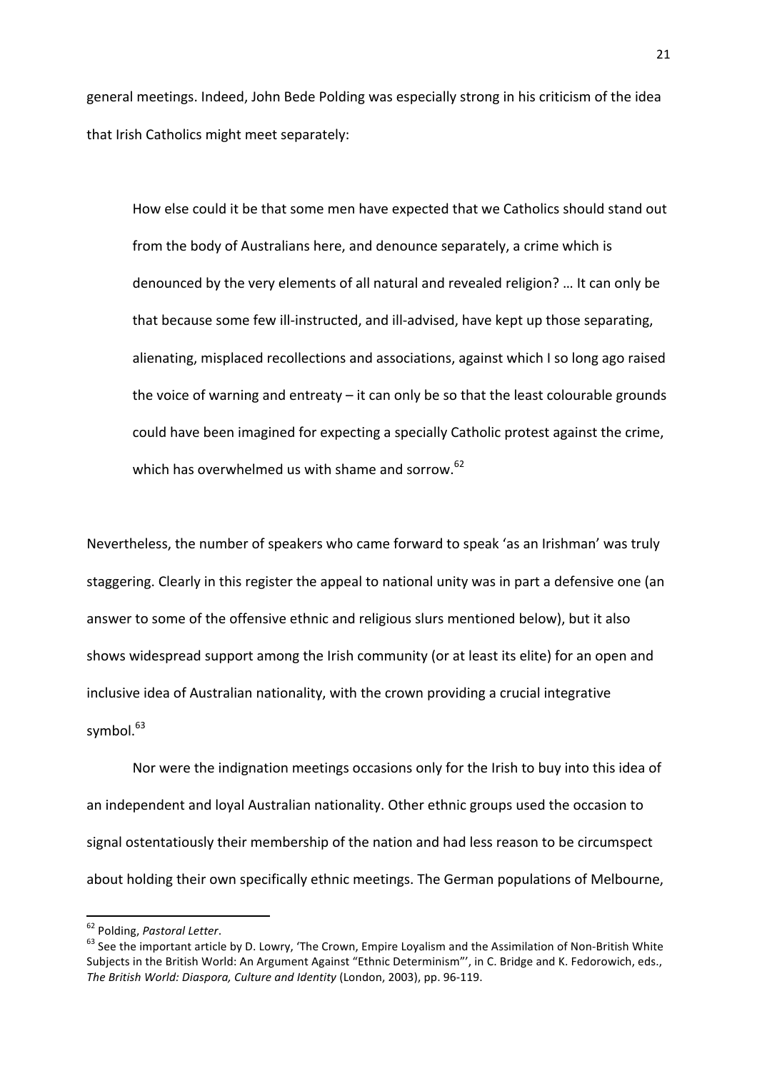general meetings. Indeed, John Bede Polding was especially strong in his criticism of the idea that Irish Catholics might meet separately:

How else could it be that some men have expected that we Catholics should stand out from the body of Australians here, and denounce separately, a crime which is denounced by the very elements of all natural and revealed religion? ... It can only be that because some few ill-instructed, and ill-advised, have kept up those separating, alienating, misplaced recollections and associations, against which I so long ago raised the voice of warning and entreaty  $-$  it can only be so that the least colourable grounds could have been imagined for expecting a specially Catholic protest against the crime, which has overwhelmed us with shame and sorrow.<sup>62</sup>

Nevertheless, the number of speakers who came forward to speak 'as an Irishman' was truly staggering. Clearly in this register the appeal to national unity was in part a defensive one (an answer to some of the offensive ethnic and religious slurs mentioned below), but it also shows widespread support among the Irish community (or at least its elite) for an open and inclusive idea of Australian nationality, with the crown providing a crucial integrative symbol.<sup>63</sup>

Nor were the indignation meetings occasions only for the Irish to buy into this idea of an independent and loyal Australian nationality. Other ethnic groups used the occasion to signal ostentatiously their membership of the nation and had less reason to be circumspect about holding their own specifically ethnic meetings. The German populations of Melbourne,

<sup>&</sup>lt;sup>62</sup> Polding, *Pastoral Letter*.<br><sup>63</sup> See the important article by D. Lowry, 'The Crown, Empire Loyalism and the Assimilation of Non-British White Subjects in the British World: An Argument Against "Ethnic Determinism"', in C. Bridge and K. Fedorowich, eds., The British World: Diaspora, Culture and Identity (London, 2003), pp. 96-119.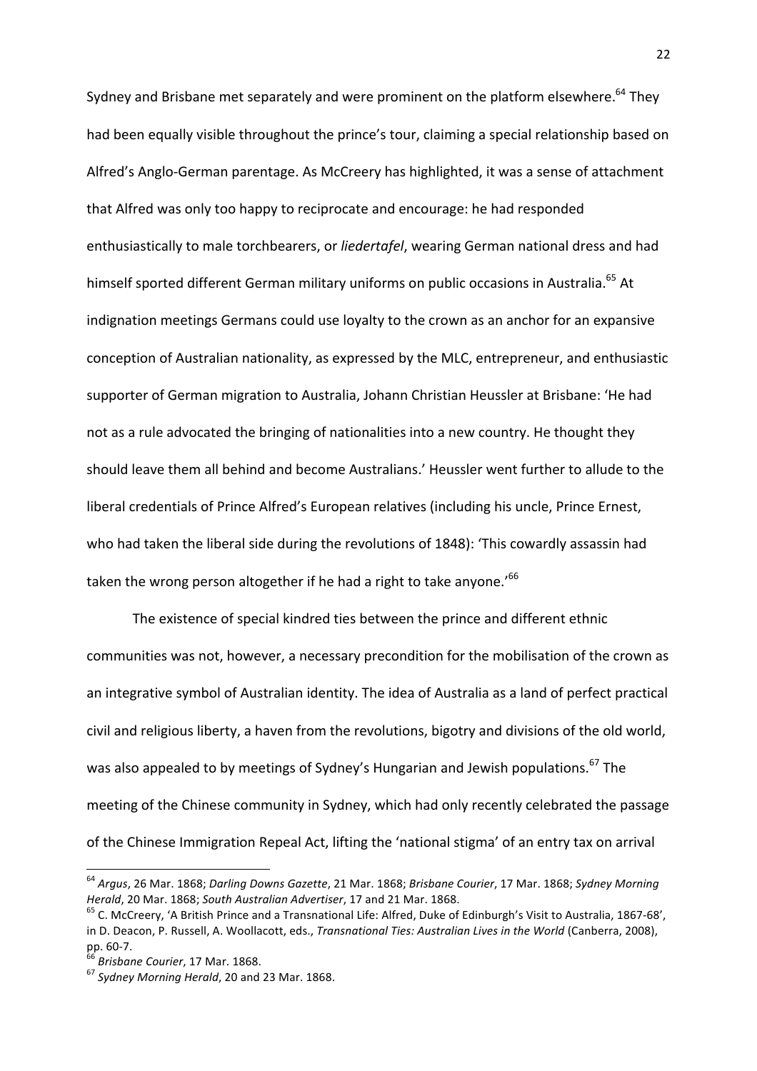Sydney and Brisbane met separately and were prominent on the platform elsewhere.<sup>64</sup> They had been equally visible throughout the prince's tour, claiming a special relationship based on Alfred's Anglo-German parentage. As McCreery has highlighted, it was a sense of attachment that Alfred was only too happy to reciprocate and encourage: he had responded enthusiastically to male torchbearers, or *liedertafel*, wearing German national dress and had himself sported different German military uniforms on public occasions in Australia.<sup>65</sup> At indignation meetings Germans could use loyalty to the crown as an anchor for an expansive conception of Australian nationality, as expressed by the MLC, entrepreneur, and enthusiastic supporter of German migration to Australia, Johann Christian Heussler at Brisbane: 'He had not as a rule advocated the bringing of nationalities into a new country. He thought they should leave them all behind and become Australians.' Heussler went further to allude to the liberal credentials of Prince Alfred's European relatives (including his uncle, Prince Ernest, who had taken the liberal side during the revolutions of 1848): 'This cowardly assassin had taken the wrong person altogether if he had a right to take anyone.<sup>'66</sup>

The existence of special kindred ties between the prince and different ethnic communities was not, however, a necessary precondition for the mobilisation of the crown as an integrative symbol of Australian identity. The idea of Australia as a land of perfect practical civil and religious liberty, a haven from the revolutions, bigotry and divisions of the old world, was also appealed to by meetings of Sydney's Hungarian and Jewish populations.<sup>67</sup> The meeting of the Chinese community in Sydney, which had only recently celebrated the passage of the Chinese Immigration Repeal Act, lifting the 'national stigma' of an entry tax on arrival

<sup>&</sup>lt;sup>64</sup> Argus, 26 Mar. 1868; Darling Downs Gazette, 21 Mar. 1868; Brisbane Courier, 17 Mar. 1868; Sydney Morning *Herald*, 20 Mar. 1868; *South Australian Advertiser*, 17 and 21 Mar. 1868.<br><sup>65</sup> C. McCreery, 'A British Prince and a Transnational Life: Alfred, Duke of Edinburgh's Visit to Australia, 1867-68',

in D. Deacon, P. Russell, A. Woollacott, eds., *Transnational Ties: Australian Lives in the World* (Canberra, 2008), pp. 60-7.

<sup>&</sup>lt;sup>66</sup> Brisbane Courier, 17 Mar. 1868.<br><sup>67</sup> Sydney Morning Herald, 20 and 23 Mar. 1868.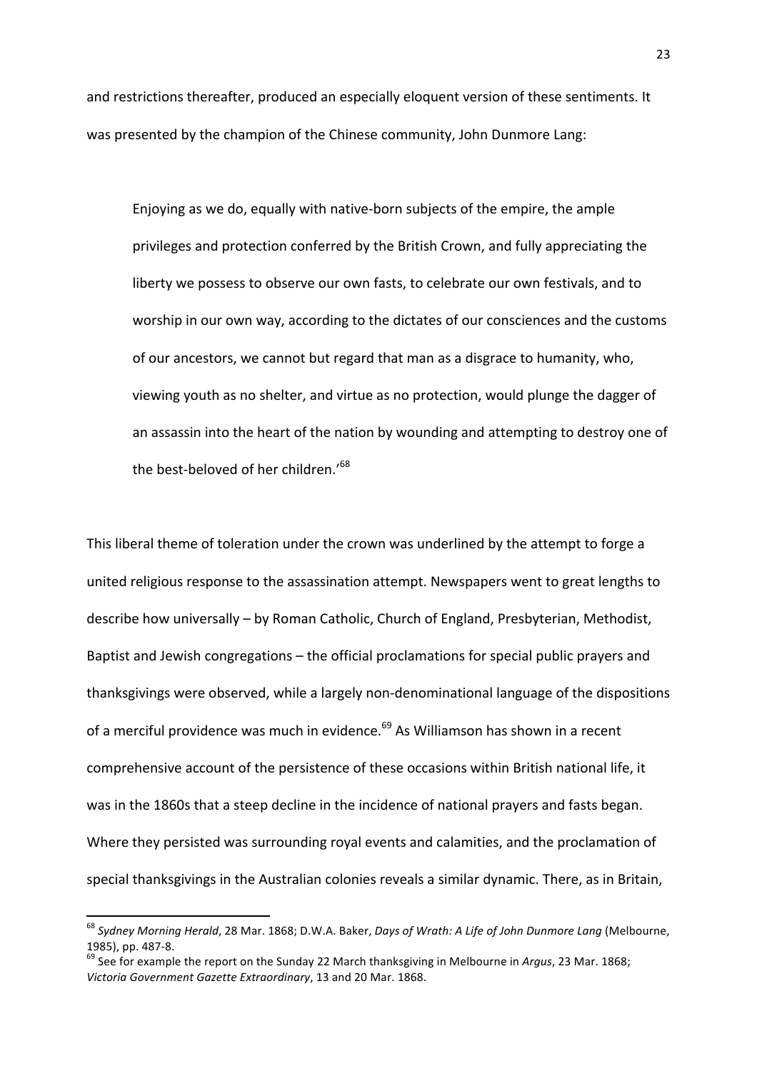and restrictions thereafter, produced an especially eloquent version of these sentiments. It was presented by the champion of the Chinese community, John Dunmore Lang:

Enjoying as we do, equally with native-born subjects of the empire, the ample privileges and protection conferred by the British Crown, and fully appreciating the liberty we possess to observe our own fasts, to celebrate our own festivals, and to worship in our own way, according to the dictates of our consciences and the customs of our ancestors, we cannot but regard that man as a disgrace to humanity, who, viewing youth as no shelter, and virtue as no protection, would plunge the dagger of an assassin into the heart of the nation by wounding and attempting to destroy one of the best-beloved of her children.<sup>68</sup>

This liberal theme of toleration under the crown was underlined by the attempt to forge a united religious response to the assassination attempt. Newspapers went to great lengths to describe how universally - by Roman Catholic, Church of England, Presbyterian, Methodist, Baptist and Jewish congregations – the official proclamations for special public prayers and thanksgivings were observed, while a largely non-denominational language of the dispositions of a merciful providence was much in evidence.<sup>69</sup> As Williamson has shown in a recent comprehensive account of the persistence of these occasions within British national life, it was in the 1860s that a steep decline in the incidence of national prayers and fasts began. Where they persisted was surrounding royal events and calamities, and the proclamation of special thanksgivings in the Australian colonies reveals a similar dynamic. There, as in Britain,

<sup>&</sup>lt;sup>68</sup> Sydney Morning Herald, 28 Mar. 1868; D.W.A. Baker, *Days of Wrath: A Life of John Dunmore Lang* (Melbourne,

<sup>1985),</sup> pp. 487-8.<br><sup>69</sup> See for example the report on the Sunday 22 March thanksgiving in Melbourne in *Argus*, 23 Mar. 1868; *Victoria Government Gazette Extraordinary*, 13 and 20 Mar. 1868.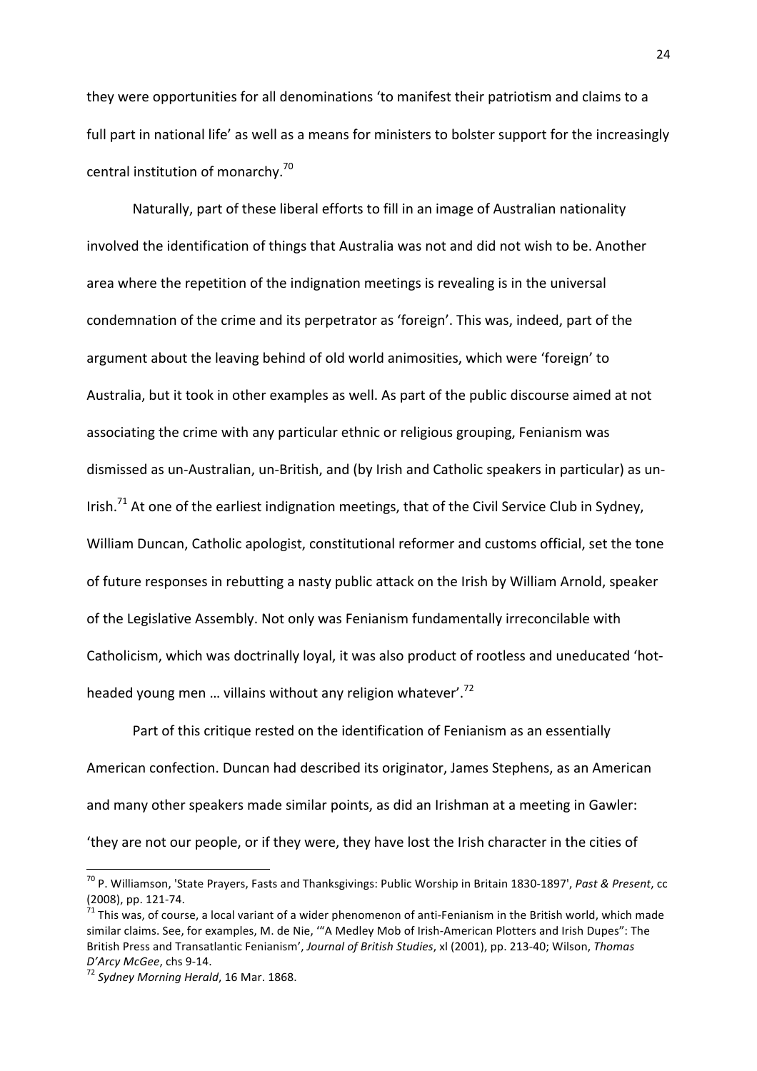they were opportunities for all denominations 'to manifest their patriotism and claims to a full part in national life' as well as a means for ministers to bolster support for the increasingly central institution of monarchy.<sup>70</sup>

Naturally, part of these liberal efforts to fill in an image of Australian nationality involved the identification of things that Australia was not and did not wish to be. Another area where the repetition of the indignation meetings is revealing is in the universal condemnation of the crime and its perpetrator as 'foreign'. This was, indeed, part of the argument about the leaving behind of old world animosities, which were 'foreign' to Australia, but it took in other examples as well. As part of the public discourse aimed at not associating the crime with any particular ethnic or religious grouping, Fenianism was dismissed as un-Australian, un-British, and (by Irish and Catholic speakers in particular) as un-Irish.<sup>71</sup> At one of the earliest indignation meetings, that of the Civil Service Club in Sydney, William Duncan, Catholic apologist, constitutional reformer and customs official, set the tone of future responses in rebutting a nasty public attack on the Irish by William Arnold, speaker of the Legislative Assembly. Not only was Fenianism fundamentally irreconcilable with Catholicism, which was doctrinally loyal, it was also product of rootless and uneducated 'hotheaded young men ... villains without any religion whatever'.<sup>72</sup>

Part of this critique rested on the identification of Fenianism as an essentially American confection. Duncan had described its originator, James Stephens, as an American and many other speakers made similar points, as did an Irishman at a meeting in Gawler: 'they are not our people, or if they were, they have lost the Irish character in the cities of

<sup>&</sup>lt;sup>70</sup> P. Williamson, 'State Prayers, Fasts and Thanksgivings: Public Worship in Britain 1830-1897', *Past & Present*, cc (2008), pp. 121-74.<br><sup>71</sup> This was, of course, a local variant of a wider phenomenon of anti-Fenianism in the British world, which made

similar claims. See, for examples, M. de Nie, ""A Medley Mob of Irish-American Plotters and Irish Dupes": The British Press and Transatlantic Fenianism', Journal of British Studies, xl (2001), pp. 213-40; Wilson, Thomas *D'Arcy McGee*, chs 9-14.<br><sup>72</sup> Sydney Morning Herald, 16 Mar. 1868.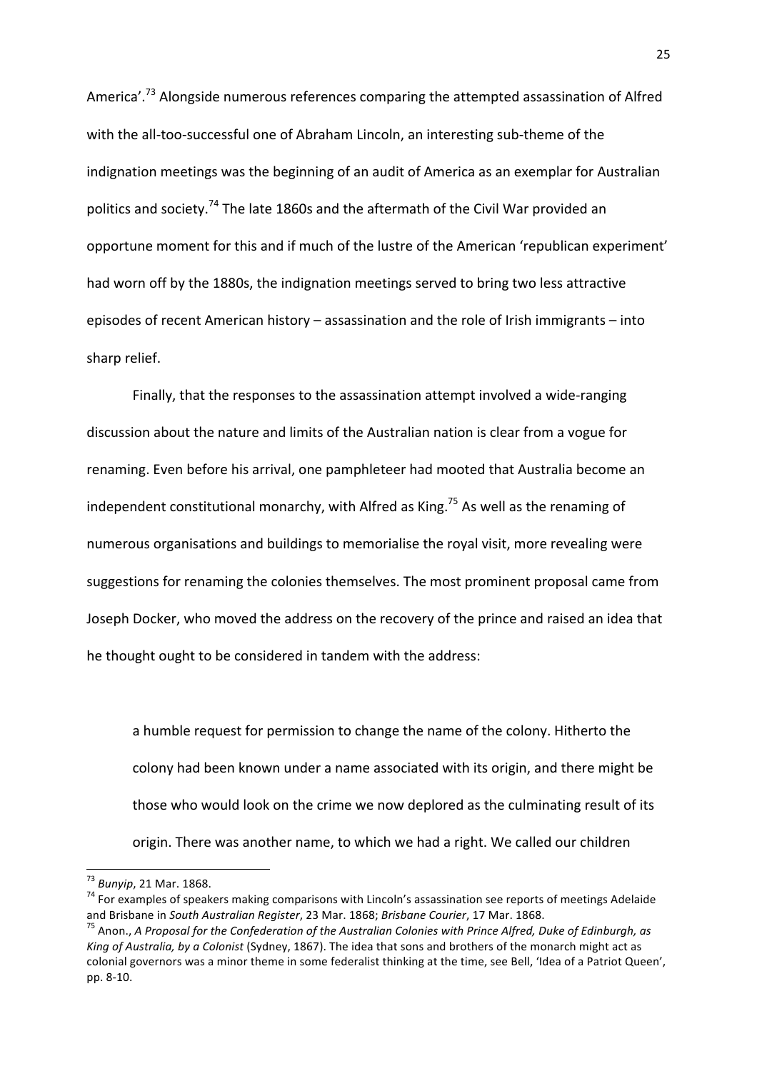America'.<sup>73</sup> Alongside numerous references comparing the attempted assassination of Alfred with the all-too-successful one of Abraham Lincoln, an interesting sub-theme of the indignation meetings was the beginning of an audit of America as an exemplar for Australian politics and society.<sup>74</sup> The late 1860s and the aftermath of the Civil War provided an opportune moment for this and if much of the lustre of the American 'republican experiment' had worn off by the 1880s, the indignation meetings served to bring two less attractive episodes of recent American history – assassination and the role of Irish immigrants – into sharp relief.

Finally, that the responses to the assassination attempt involved a wide-ranging discussion about the nature and limits of the Australian nation is clear from a vogue for renaming. Even before his arrival, one pamphleteer had mooted that Australia become an independent constitutional monarchy, with Alfred as King.<sup>75</sup> As well as the renaming of numerous organisations and buildings to memorialise the royal visit, more revealing were suggestions for renaming the colonies themselves. The most prominent proposal came from Joseph Docker, who moved the address on the recovery of the prince and raised an idea that he thought ought to be considered in tandem with the address:

a humble request for permission to change the name of the colony. Hitherto the colony had been known under a name associated with its origin, and there might be those who would look on the crime we now deplored as the culminating result of its origin. There was another name, to which we had a right. We called our children

<sup>&</sup>lt;sup>73</sup> Bunyip, 21 Mar. 1868.<br><sup>74</sup> For examples of speakers making comparisons with Lincoln's assassination see reports of meetings Adelaide and Brisbane in *South Australian Register*, 23 Mar. 1868; *Brisbane Courier*, 17 Mar. 1868.<br><sup>75</sup> Anon., *A Proposal for the Confederation of the Australian Colonies with Prince Alfred, Duke of Edinburgh, as* 

*King of Australia, by a Colonist* (Sydney, 1867). The idea that sons and brothers of the monarch might act as colonial governors was a minor theme in some federalist thinking at the time, see Bell, 'Idea of a Patriot Queen', pp. 8-10.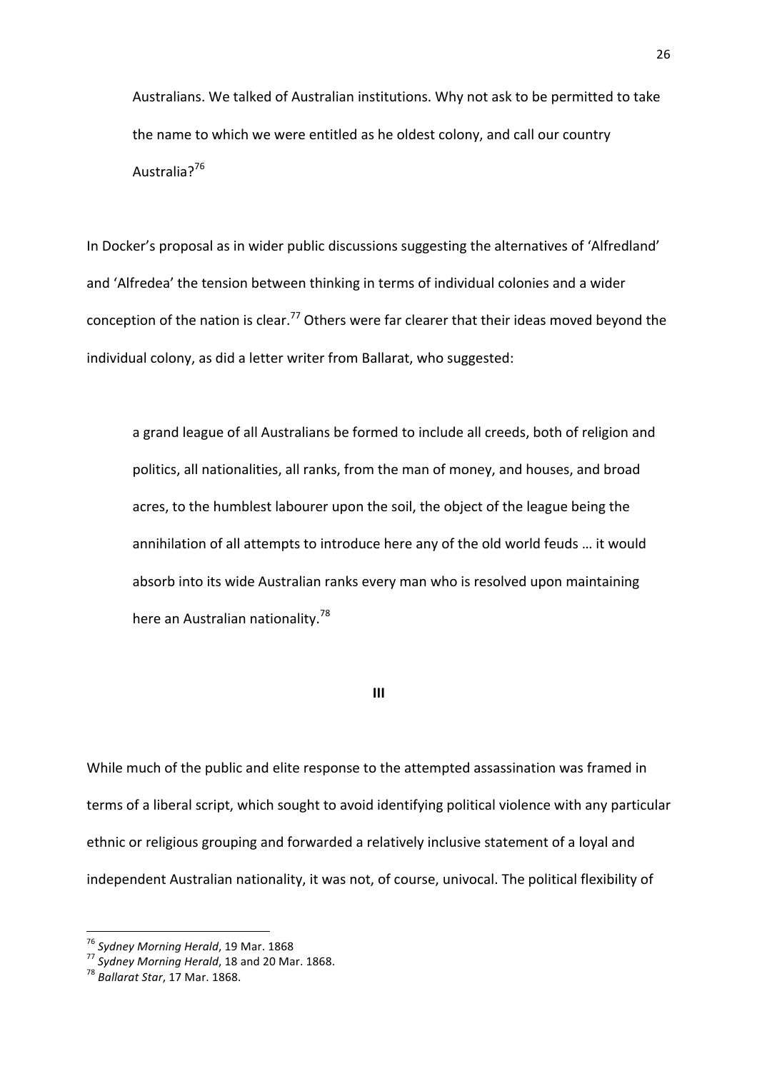Australians. We talked of Australian institutions. Why not ask to be permitted to take the name to which we were entitled as he oldest colony, and call our country Australia?<sup>76</sup>

In Docker's proposal as in wider public discussions suggesting the alternatives of 'Alfredland' and 'Alfredea' the tension between thinking in terms of individual colonies and a wider conception of the nation is clear.<sup>77</sup> Others were far clearer that their ideas moved beyond the individual colony, as did a letter writer from Ballarat, who suggested:

a grand league of all Australians be formed to include all creeds, both of religion and politics, all nationalities, all ranks, from the man of money, and houses, and broad acres, to the humblest labourer upon the soil, the object of the league being the annihilation of all attempts to introduce here any of the old world feuds ... it would absorb into its wide Australian ranks every man who is resolved upon maintaining here an Australian nationality.<sup>78</sup>

**III**

While much of the public and elite response to the attempted assassination was framed in terms of a liberal script, which sought to avoid identifying political violence with any particular ethnic or religious grouping and forwarded a relatively inclusive statement of a loyal and independent Australian nationality, it was not, of course, univocal. The political flexibility of

<sup>&</sup>lt;sup>76</sup> Sydney Morning Herald, 19 Mar. 1868<br><sup>77</sup> Sydney Morning Herald, 18 and 20 Mar. 1868.<br><sup>78</sup> Ballarat Star, 17 Mar. 1868.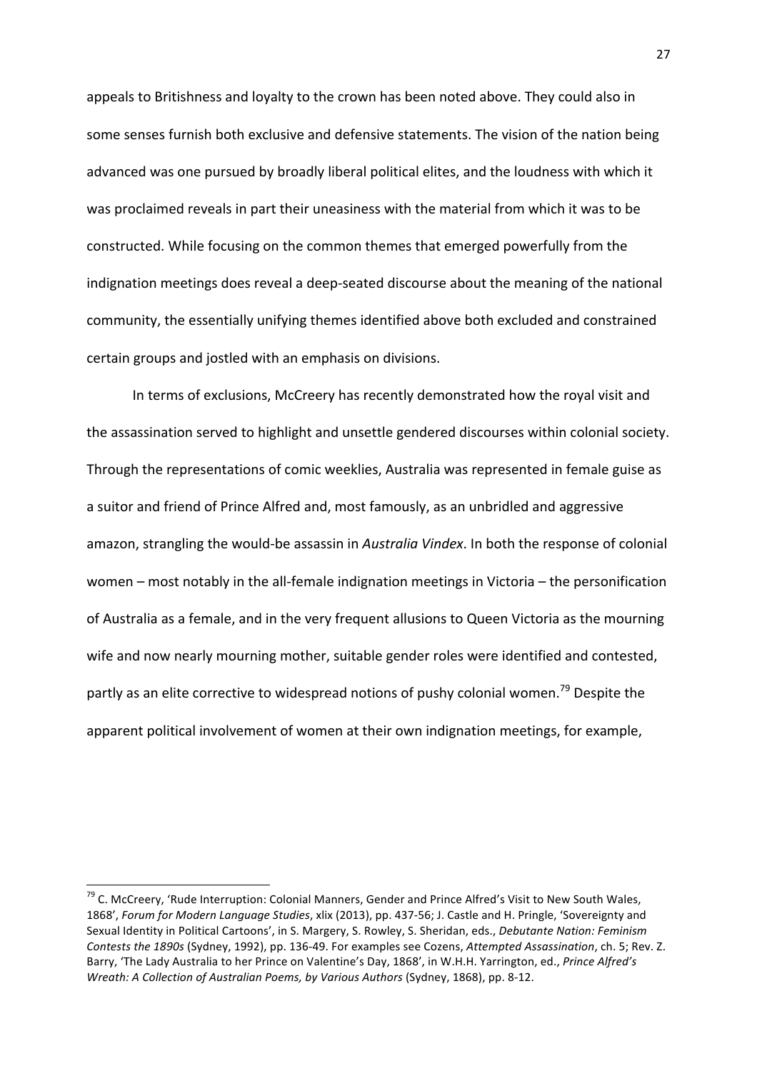appeals to Britishness and loyalty to the crown has been noted above. They could also in some senses furnish both exclusive and defensive statements. The vision of the nation being advanced was one pursued by broadly liberal political elites, and the loudness with which it was proclaimed reveals in part their uneasiness with the material from which it was to be constructed. While focusing on the common themes that emerged powerfully from the indignation meetings does reveal a deep-seated discourse about the meaning of the national community, the essentially unifying themes identified above both excluded and constrained certain groups and jostled with an emphasis on divisions.

In terms of exclusions, McCreery has recently demonstrated how the royal visit and the assassination served to highlight and unsettle gendered discourses within colonial society. Through the representations of comic weeklies, Australia was represented in female guise as a suitor and friend of Prince Alfred and, most famously, as an unbridled and aggressive amazon, strangling the would-be assassin in *Australia Vindex*. In both the response of colonial women – most notably in the all-female indignation meetings in Victoria – the personification of Australia as a female, and in the very frequent allusions to Queen Victoria as the mourning wife and now nearly mourning mother, suitable gender roles were identified and contested, partly as an elite corrective to widespread notions of pushy colonial women.<sup>79</sup> Despite the apparent political involvement of women at their own indignation meetings, for example,

 $^{79}$  C. McCreery, 'Rude Interruption: Colonial Manners, Gender and Prince Alfred's Visit to New South Wales, 1868', *Forum for Modern Language Studies*, xlix (2013), pp. 437-56; J. Castle and H. Pringle, 'Sovereignty and Sexual Identity in Political Cartoons', in S. Margery, S. Rowley, S. Sheridan, eds., *Debutante Nation: Feminism Contests the 1890s* (Sydney, 1992), pp. 136-49. For examples see Cozens, *Attempted Assassination*, ch. 5; Rev. Z. Barry, 'The Lady Australia to her Prince on Valentine's Day, 1868', in W.H.H. Yarrington, ed., Prince Alfred's *Wreath: A Collection of Australian Poems, by Various Authors* (Sydney, 1868), pp. 8-12.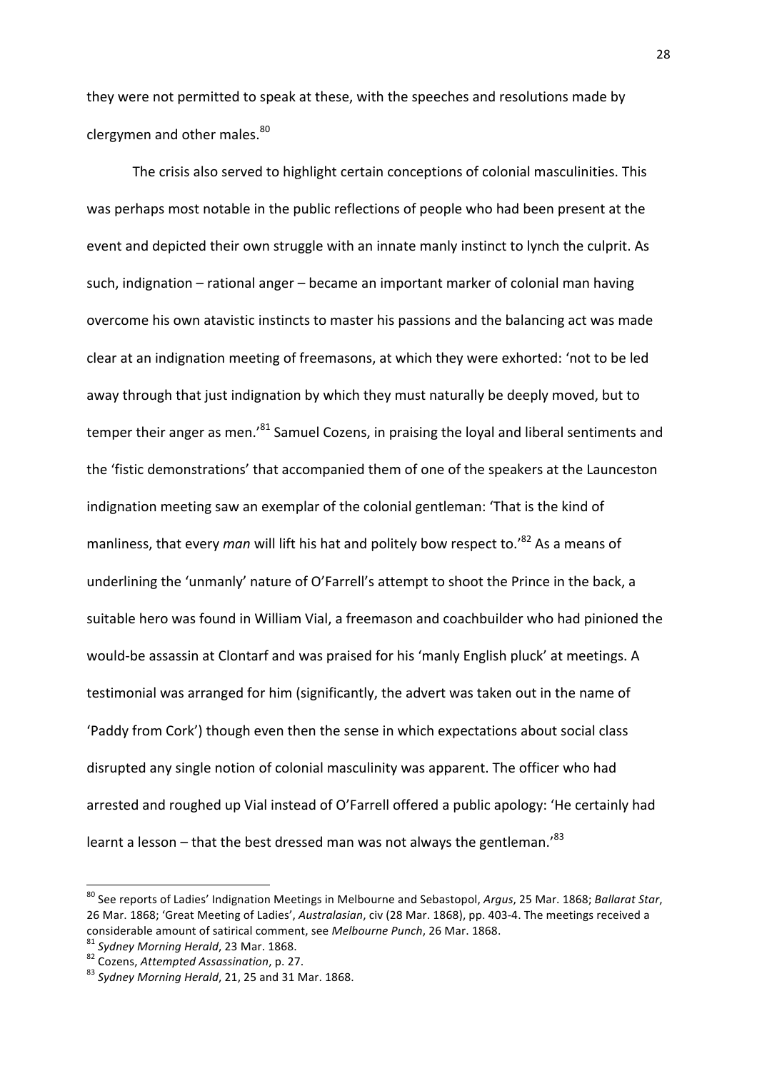they were not permitted to speak at these, with the speeches and resolutions made by clergymen and other males.<sup>80</sup>

The crisis also served to highlight certain conceptions of colonial masculinities. This was perhaps most notable in the public reflections of people who had been present at the event and depicted their own struggle with an innate manly instinct to lynch the culprit. As such, indignation  $-$  rational anger  $-$  became an important marker of colonial man having overcome his own atavistic instincts to master his passions and the balancing act was made clear at an indignation meeting of freemasons, at which they were exhorted: 'not to be led away through that just indignation by which they must naturally be deeply moved, but to temper their anger as men.<sup>81</sup> Samuel Cozens, in praising the loyal and liberal sentiments and the 'fistic demonstrations' that accompanied them of one of the speakers at the Launceston indignation meeting saw an exemplar of the colonial gentleman: 'That is the kind of manliness, that every *man* will lift his hat and politely bow respect to.'<sup>82</sup> As a means of underlining the 'unmanly' nature of O'Farrell's attempt to shoot the Prince in the back, a suitable hero was found in William Vial, a freemason and coachbuilder who had pinioned the would-be assassin at Clontarf and was praised for his 'manly English pluck' at meetings. A testimonial was arranged for him (significantly, the advert was taken out in the name of 'Paddy from Cork') though even then the sense in which expectations about social class disrupted any single notion of colonial masculinity was apparent. The officer who had arrested and roughed up Vial instead of O'Farrell offered a public apology: 'He certainly had learnt a lesson – that the best dressed man was not always the gentleman.<sup>83</sup>

<sup>&</sup>lt;sup>80</sup> See reports of Ladies' Indignation Meetings in Melbourne and Sebastopol, Argus, 25 Mar. 1868; Ballarat Star, 26 Mar. 1868; 'Great Meeting of Ladies', *Australasian*, civ (28 Mar. 1868), pp. 403-4. The meetings received a considerable amount of satirical comment, see Melbourne Punch, 26 Mar. 1868.<br>
<sup>81</sup> Sydney Morning Herald, 23 Mar. 1868.<br>
<sup>82</sup> Cozens, Attempted Assassination, p. 27.<br>
<sup>83</sup> Sydney Morning Herald, 21, 25 and 31 Mar. 1868.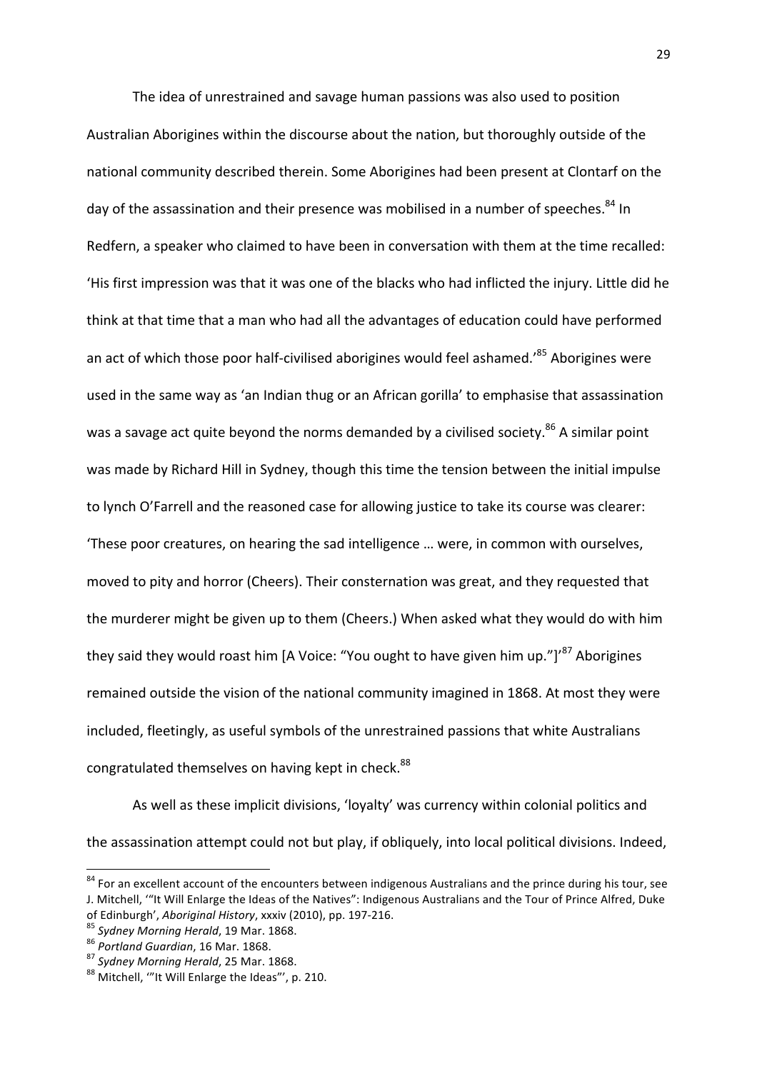The idea of unrestrained and savage human passions was also used to position Australian Aborigines within the discourse about the nation, but thoroughly outside of the national community described therein. Some Aborigines had been present at Clontarf on the day of the assassination and their presence was mobilised in a number of speeches.<sup>84</sup> In Redfern, a speaker who claimed to have been in conversation with them at the time recalled: 'His first impression was that it was one of the blacks who had inflicted the injury. Little did he think at that time that a man who had all the advantages of education could have performed an act of which those poor half-civilised aborigines would feel ashamed.'<sup>85</sup> Aborigines were used in the same way as 'an Indian thug or an African gorilla' to emphasise that assassination was a savage act quite beyond the norms demanded by a civilised society.<sup>86</sup> A similar point was made by Richard Hill in Sydney, though this time the tension between the initial impulse to lynch O'Farrell and the reasoned case for allowing justice to take its course was clearer: 'These poor creatures, on hearing the sad intelligence ... were, in common with ourselves, moved to pity and horror (Cheers). Their consternation was great, and they requested that the murderer might be given up to them (Cheers.) When asked what they would do with him they said they would roast him [A Voice: "You ought to have given him up."]<sup>87</sup> Aborigines remained outside the vision of the national community imagined in 1868. At most they were included, fleetingly, as useful symbols of the unrestrained passions that white Australians congratulated themselves on having kept in check.<sup>88</sup>

As well as these implicit divisions, 'loyalty' was currency within colonial politics and the assassination attempt could not but play, if obliquely, into local political divisions. Indeed,

<sup>&</sup>lt;sup>84</sup> For an excellent account of the encounters between indigenous Australians and the prince during his tour, see J. Mitchell, "It Will Enlarge the Ideas of the Natives": Indigenous Australians and the Tour of Prince Alfred, Duke

of Edinburgh', Aboriginal History, xxxiv (2010), pp. 197-216.<br><sup>85</sup> Sydney Morning Herald, 19 Mar. 1868.<br><sup>86</sup> Portland Guardian, 16 Mar. 1868.<br><sup>87</sup> Sydney Morning Herald, 25 Mar. 1868.<br><sup>88</sup> Mitchell, "'It Will Enlarge the I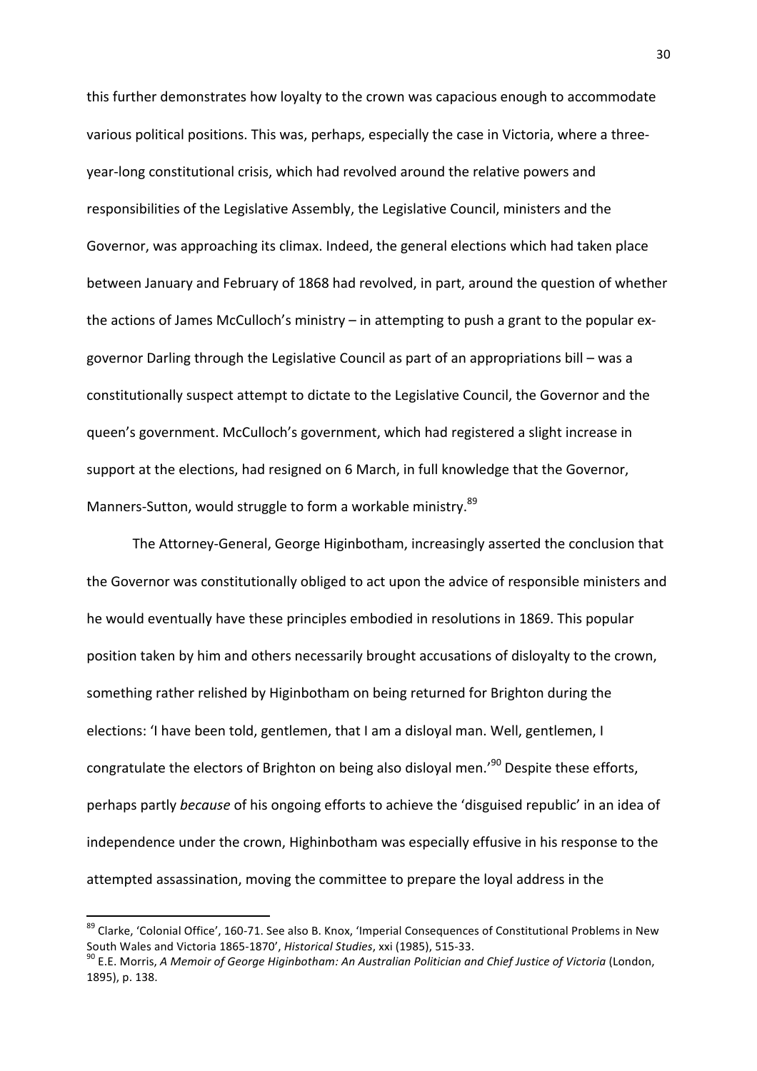this further demonstrates how loyalty to the crown was capacious enough to accommodate various political positions. This was, perhaps, especially the case in Victoria, where a threeyear-long constitutional crisis, which had revolved around the relative powers and responsibilities of the Legislative Assembly, the Legislative Council, ministers and the Governor, was approaching its climax. Indeed, the general elections which had taken place between January and February of 1868 had revolved, in part, around the question of whether the actions of James McCulloch's ministry - in attempting to push a grant to the popular exgovernor Darling through the Legislative Council as part of an appropriations bill – was a constitutionally suspect attempt to dictate to the Legislative Council, the Governor and the queen's government. McCulloch's government, which had registered a slight increase in support at the elections, had resigned on 6 March, in full knowledge that the Governor, Manners-Sutton, would struggle to form a workable ministry.<sup>89</sup>

The Attorney-General, George Higinbotham, increasingly asserted the conclusion that the Governor was constitutionally obliged to act upon the advice of responsible ministers and he would eventually have these principles embodied in resolutions in 1869. This popular position taken by him and others necessarily brought accusations of disloyalty to the crown, something rather relished by Higinbotham on being returned for Brighton during the elections: 'I have been told, gentlemen, that I am a disloyal man. Well, gentlemen, I congratulate the electors of Brighton on being also disloyal men.<sup>'90</sup> Despite these efforts, perhaps partly *because* of his ongoing efforts to achieve the 'disguised republic' in an idea of independence under the crown. Highinbotham was especially effusive in his response to the attempted assassination, moving the committee to prepare the loyal address in the

<sup>89</sup> Clarke, 'Colonial Office', 160-71. See also B. Knox, 'Imperial Consequences of Constitutional Problems in New South Wales and Victoria 1865-1870', *Historical Studies*, xxi (1985), 515-33. *90* E.E. Morris, *A Memoir of George Higinbotham: An Australian Politician and Chief Justice of Victoria (London, 190)* 

<sup>1895),</sup> p. 138.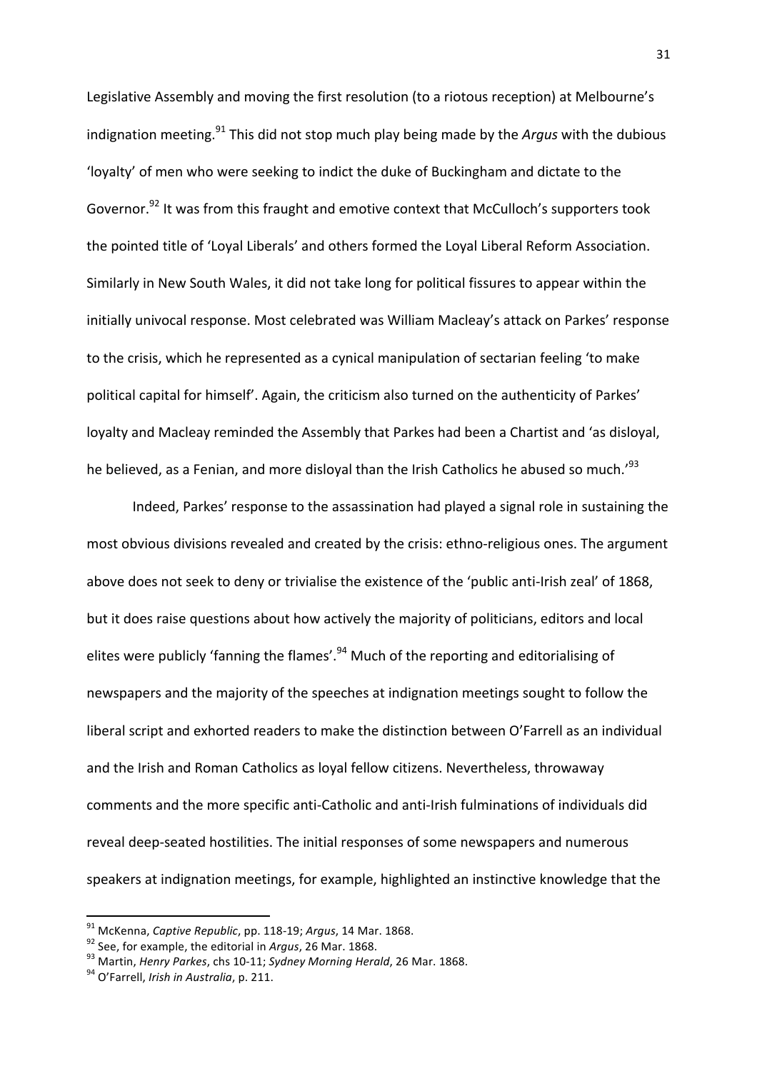Legislative Assembly and moving the first resolution (to a riotous reception) at Melbourne's indignation meeting.<sup>91</sup> This did not stop much play being made by the *Argus* with the dubious 'loyalty' of men who were seeking to indict the duke of Buckingham and dictate to the Governor.<sup>92</sup> It was from this fraught and emotive context that McCulloch's supporters took the pointed title of 'Loyal Liberals' and others formed the Loyal Liberal Reform Association. Similarly in New South Wales, it did not take long for political fissures to appear within the initially univocal response. Most celebrated was William Macleay's attack on Parkes' response to the crisis, which he represented as a cynical manipulation of sectarian feeling 'to make political capital for himself'. Again, the criticism also turned on the authenticity of Parkes' loyalty and Macleay reminded the Assembly that Parkes had been a Chartist and 'as disloyal, he believed, as a Fenian, and more disloyal than the Irish Catholics he abused so much.<sup>'93</sup>

Indeed, Parkes' response to the assassination had played a signal role in sustaining the most obvious divisions revealed and created by the crisis: ethno-religious ones. The argument above does not seek to deny or trivialise the existence of the 'public anti-Irish zeal' of 1868, but it does raise questions about how actively the majority of politicians, editors and local elites were publicly 'fanning the flames'. $94$  Much of the reporting and editorialising of newspapers and the majority of the speeches at indignation meetings sought to follow the liberal script and exhorted readers to make the distinction between O'Farrell as an individual and the Irish and Roman Catholics as loyal fellow citizens. Nevertheless, throwaway comments and the more specific anti-Catholic and anti-Irish fulminations of individuals did reveal deep-seated hostilities. The initial responses of some newspapers and numerous speakers at indignation meetings, for example, highlighted an instinctive knowledge that the

<sup>&</sup>lt;sup>91</sup> McKenna, *Captive Republic*, pp. 118-19; *Argus*, 14 Mar. 1868.<br><sup>92</sup> See, for example, the editorial in *Argus*, 26 Mar. 1868.<br><sup>93</sup> Martin, *Henry Parkes*, chs 10-11; *Sydney Morning Herald*, 26 Mar. 1868.<br><sup>94</sup> O'Far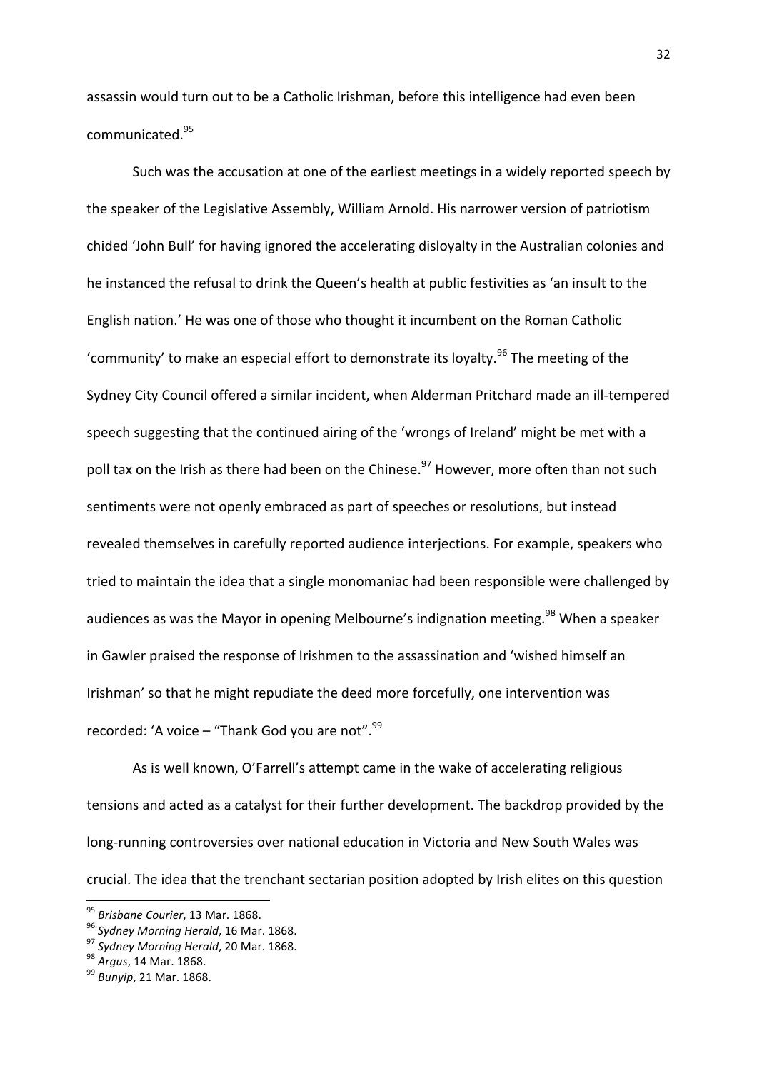assassin would turn out to be a Catholic Irishman, before this intelligence had even been communicated.<sup>95</sup>

Such was the accusation at one of the earliest meetings in a widely reported speech by the speaker of the Legislative Assembly, William Arnold. His narrower version of patriotism chided 'John Bull' for having ignored the accelerating disloyalty in the Australian colonies and he instanced the refusal to drink the Queen's health at public festivities as 'an insult to the English nation.' He was one of those who thought it incumbent on the Roman Catholic 'community' to make an especial effort to demonstrate its loyalty.<sup>96</sup> The meeting of the Sydney City Council offered a similar incident, when Alderman Pritchard made an ill-tempered speech suggesting that the continued airing of the 'wrongs of Ireland' might be met with a poll tax on the Irish as there had been on the Chinese.<sup>97</sup> However, more often than not such sentiments were not openly embraced as part of speeches or resolutions, but instead revealed themselves in carefully reported audience interjections. For example, speakers who tried to maintain the idea that a single monomaniac had been responsible were challenged by audiences as was the Mayor in opening Melbourne's indignation meeting.<sup>98</sup> When a speaker in Gawler praised the response of Irishmen to the assassination and 'wished himself an Irishman' so that he might repudiate the deed more forcefully, one intervention was recorded: 'A voice – "Thank God you are not". $99$ 

As is well known, O'Farrell's attempt came in the wake of accelerating religious tensions and acted as a catalyst for their further development. The backdrop provided by the long-running controversies over national education in Victoria and New South Wales was crucial. The idea that the trenchant sectarian position adopted by Irish elites on this question

<sup>&</sup>lt;sup>95</sup> *Brisbane Courier*, 13 Mar. 1868.<br><sup>96</sup> *Sydney Morning Herald*, 16 Mar. 1868.<br><sup>97</sup> *Sydney Morning Herald*, 20 Mar. 1868.<br><sup>98</sup> *Argus*, 14 Mar. 1868. <sup>99</sup> *Bunyip*, 21 Mar. 1868.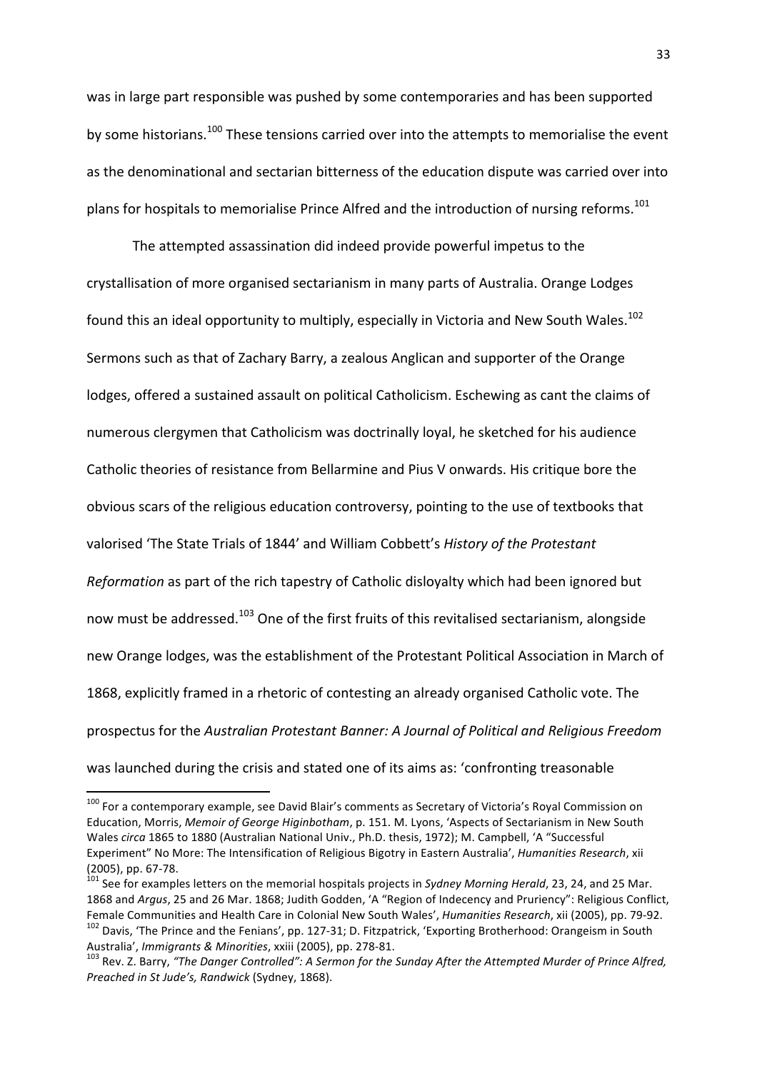was in large part responsible was pushed by some contemporaries and has been supported by some historians.<sup>100</sup> These tensions carried over into the attempts to memorialise the event as the denominational and sectarian bitterness of the education dispute was carried over into plans for hospitals to memorialise Prince Alfred and the introduction of nursing reforms.<sup>101</sup>

The attempted assassination did indeed provide powerful impetus to the crystallisation of more organised sectarianism in many parts of Australia. Orange Lodges found this an ideal opportunity to multiply, especially in Victoria and New South Wales.<sup>102</sup> Sermons such as that of Zachary Barry, a zealous Anglican and supporter of the Orange lodges, offered a sustained assault on political Catholicism. Eschewing as cant the claims of numerous clergymen that Catholicism was doctrinally loyal, he sketched for his audience Catholic theories of resistance from Bellarmine and Pius V onwards. His critique bore the obvious scars of the religious education controversy, pointing to the use of textbooks that valorised 'The State Trials of 1844' and William Cobbett's *History of the Protestant Reformation* as part of the rich tapestry of Catholic disloyalty which had been ignored but now must be addressed.<sup>103</sup> One of the first fruits of this revitalised sectarianism, alongside new Orange lodges, was the establishment of the Protestant Political Association in March of 1868, explicitly framed in a rhetoric of contesting an already organised Catholic vote. The prospectus for the *Australian Protestant Banner: A Journal of Political and Religious Freedom* was launched during the crisis and stated one of its aims as: 'confronting treasonable

 

<sup>100</sup> For a contemporary example, see David Blair's comments as Secretary of Victoria's Royal Commission on Education, Morris, Memoir of George Higinbotham, p. 151. M. Lyons, 'Aspects of Sectarianism in New South Wales *circa* 1865 to 1880 (Australian National Univ., Ph.D. thesis, 1972); M. Campbell, 'A "Successful Experiment" No More: The Intensification of Religious Bigotry in Eastern Australia', *Humanities Research*, xii (2005), pp. 67-78.<br><sup>101</sup> See for examples letters on the memorial hospitals projects in *Sydney Morning Herald*, 23, 24, and 25 Mar.

<sup>1868</sup> and *Argus*, 25 and 26 Mar. 1868; Judith Godden, 'A "Region of Indecency and Pruriency": Religious Conflict, Female Communities and Health Care in Colonial New South Wales', *Humanities Research*, xii (2005), pp. 79-92.<br><sup>102</sup> Davis, 'The Prince and the Fenians', pp. 127-31; D. Fitzpatrick, 'Exporting Brotherhood: Orangeism in Sou

Australia', *Immigrants & Minorities, xxiii* (2005), pp. 278-81.<br><sup>103</sup> Rev. Z. Barry, "The Danger Controlled": A Sermon for the Sunday After the Attempted Murder of Prince Alfred, *Preached in St Jude's, Randwick* (Sydney, 1868).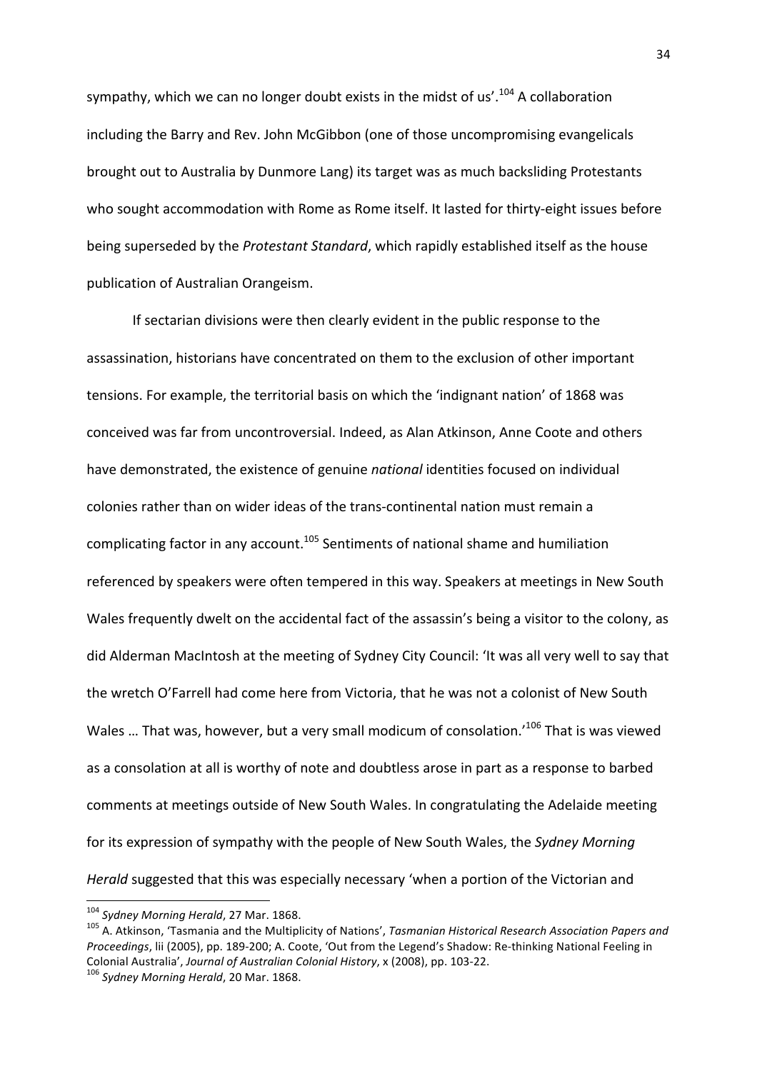sympathy, which we can no longer doubt exists in the midst of us'.<sup>104</sup> A collaboration including the Barry and Rev. John McGibbon (one of those uncompromising evangelicals brought out to Australia by Dunmore Lang) its target was as much backsliding Protestants who sought accommodation with Rome as Rome itself. It lasted for thirty-eight issues before being superseded by the *Protestant Standard*, which rapidly established itself as the house publication of Australian Orangeism.

If sectarian divisions were then clearly evident in the public response to the assassination, historians have concentrated on them to the exclusion of other important tensions. For example, the territorial basis on which the 'indignant nation' of 1868 was conceived was far from uncontroversial. Indeed, as Alan Atkinson, Anne Coote and others have demonstrated, the existence of genuine *national* identities focused on individual colonies rather than on wider ideas of the trans-continental nation must remain a complicating factor in any account.<sup>105</sup> Sentiments of national shame and humiliation referenced by speakers were often tempered in this way. Speakers at meetings in New South Wales frequently dwelt on the accidental fact of the assassin's being a visitor to the colony, as did Alderman MacIntosh at the meeting of Sydney City Council: 'It was all very well to say that the wretch O'Farrell had come here from Victoria, that he was not a colonist of New South Wales ... That was, however, but a very small modicum of consolation.<sup>'106</sup> That is was viewed as a consolation at all is worthy of note and doubtless arose in part as a response to barbed comments at meetings outside of New South Wales. In congratulating the Adelaide meeting for its expression of sympathy with the people of New South Wales, the *Sydney Morning Herald* suggested that this was especially necessary 'when a portion of the Victorian and

<sup>&</sup>lt;sup>104</sup> Svdnev Morning Herald, 27 Mar. 1868.

<sup>&</sup>lt;sup>105</sup> A. Atkinson, 'Tasmania and the Multiplicity of Nations', *Tasmanian Historical Research Association Papers and Proceedings*, lii (2005), pp. 189-200; A. Coote, 'Out from the Legend's Shadow: Re-thinking National Feeling in Colonial Australia', *Journal of Australian Colonial History*, x (2008), pp. 103-22. <sup>106</sup> *Sydney Morning Herald*, 20 Mar. 1868.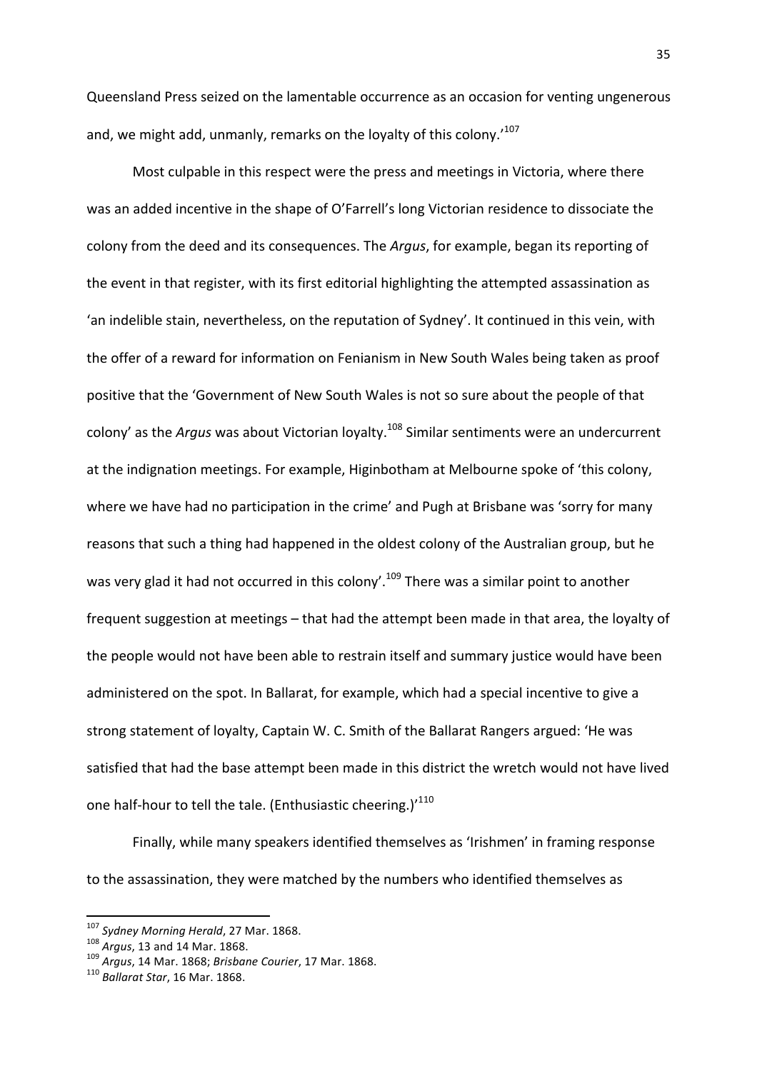Queensland Press seized on the lamentable occurrence as an occasion for venting ungenerous and, we might add, unmanly, remarks on the loyalty of this colony.<sup>107</sup>

Most culpable in this respect were the press and meetings in Victoria, where there was an added incentive in the shape of O'Farrell's long Victorian residence to dissociate the colony from the deed and its consequences. The *Argus*, for example, began its reporting of the event in that register, with its first editorial highlighting the attempted assassination as 'an indelible stain, nevertheless, on the reputation of Sydney'. It continued in this vein, with the offer of a reward for information on Fenianism in New South Wales being taken as proof positive that the 'Government of New South Wales is not so sure about the people of that colony' as the *Argus* was about Victorian loyalty.<sup>108</sup> Similar sentiments were an undercurrent at the indignation meetings. For example, Higinbotham at Melbourne spoke of 'this colony, where we have had no participation in the crime' and Pugh at Brisbane was 'sorry for many reasons that such a thing had happened in the oldest colony of the Australian group, but he was very glad it had not occurred in this colony'.<sup>109</sup> There was a similar point to another frequent suggestion at meetings – that had the attempt been made in that area, the loyalty of the people would not have been able to restrain itself and summary justice would have been administered on the spot. In Ballarat, for example, which had a special incentive to give a strong statement of loyalty, Captain W. C. Smith of the Ballarat Rangers argued: 'He was satisfied that had the base attempt been made in this district the wretch would not have lived one half-hour to tell the tale. (Enthusiastic cheering.)'<sup>110</sup>

Finally, while many speakers identified themselves as 'Irishmen' in framing response to the assassination, they were matched by the numbers who identified themselves as

<sup>&</sup>lt;sup>107</sup> *Sydney Morning Herald*, 27 Mar. 1868.<br><sup>108</sup> *Argus*, 13 and 14 Mar. 1868.<br><sup>109</sup> *Argus*, 14 Mar. 1868; *Brisbane Courier*, 17 Mar. 1868.<br><sup>110</sup> *Ballarat Star*, 16 Mar. 1868.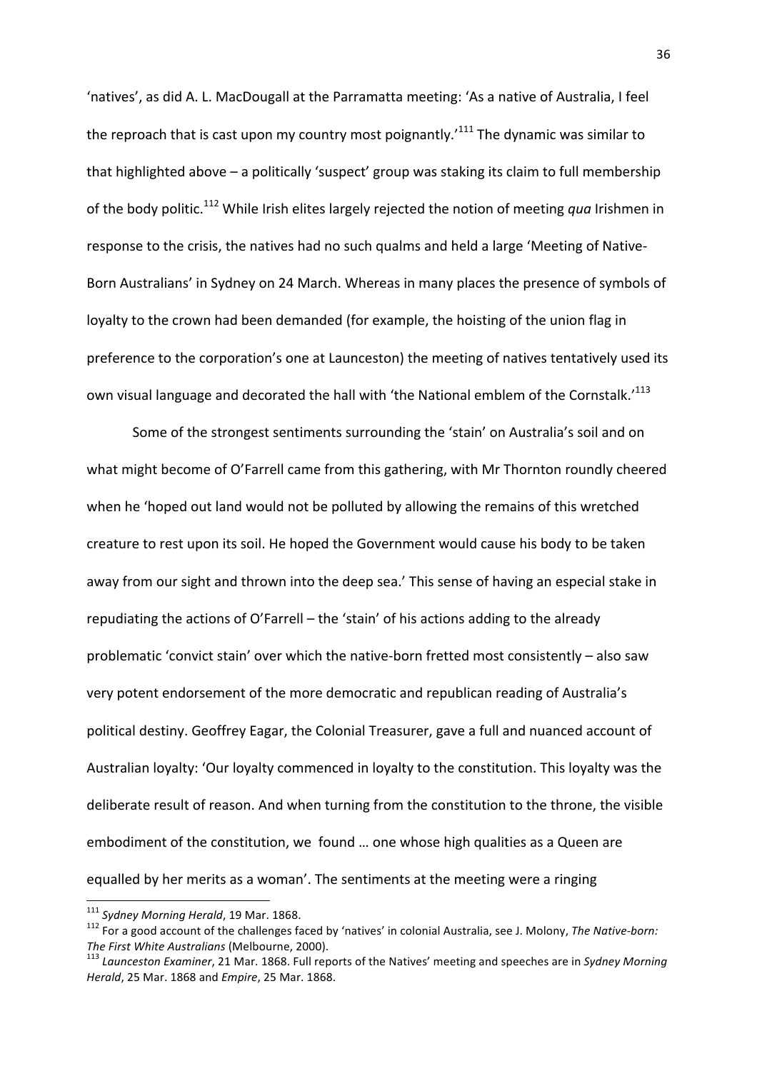'natives', as did A. L. MacDougall at the Parramatta meeting: 'As a native of Australia, I feel the reproach that is cast upon my country most poignantly.<sup> $111$ </sup> The dynamic was similar to that highlighted above - a politically 'suspect' group was staking its claim to full membership of the body politic.<sup>112</sup> While Irish elites largely rejected the notion of meeting *qua* Irishmen in response to the crisis, the natives had no such qualms and held a large 'Meeting of Native-Born Australians' in Sydney on 24 March. Whereas in many places the presence of symbols of loyalty to the crown had been demanded (for example, the hoisting of the union flag in preference to the corporation's one at Launceston) the meeting of natives tentatively used its own visual language and decorated the hall with 'the National emblem of the Cornstalk.<sup>113</sup>

Some of the strongest sentiments surrounding the 'stain' on Australia's soil and on what might become of O'Farrell came from this gathering, with Mr Thornton roundly cheered when he 'hoped out land would not be polluted by allowing the remains of this wretched creature to rest upon its soil. He hoped the Government would cause his body to be taken away from our sight and thrown into the deep sea.' This sense of having an especial stake in repudiating the actions of O'Farrell – the 'stain' of his actions adding to the already problematic 'convict stain' over which the native-born fretted most consistently - also saw very potent endorsement of the more democratic and republican reading of Australia's political destiny. Geoffrey Eagar, the Colonial Treasurer, gave a full and nuanced account of Australian loyalty: 'Our loyalty commenced in loyalty to the constitution. This loyalty was the deliberate result of reason. And when turning from the constitution to the throne, the visible embodiment of the constitution, we found ... one whose high qualities as a Queen are equalled by her merits as a woman'. The sentiments at the meeting were a ringing

<sup>&</sup>lt;sup>111</sup> Svdnev Morning Herald, 19 Mar. 1868.

<sup>&</sup>lt;sup>112</sup> For a good account of the challenges faced by 'natives' in colonial Australia, see J. Molony, The Native-born:

*The First White Australians* (Melbourne, 2000).<br><sup>113</sup> Launceston Examiner, 21 Mar. 1868. Full reports of the Natives' meeting and speeches are in *Sydney Morning Herald*, 25 Mar. 1868 and *Empire*, 25 Mar. 1868.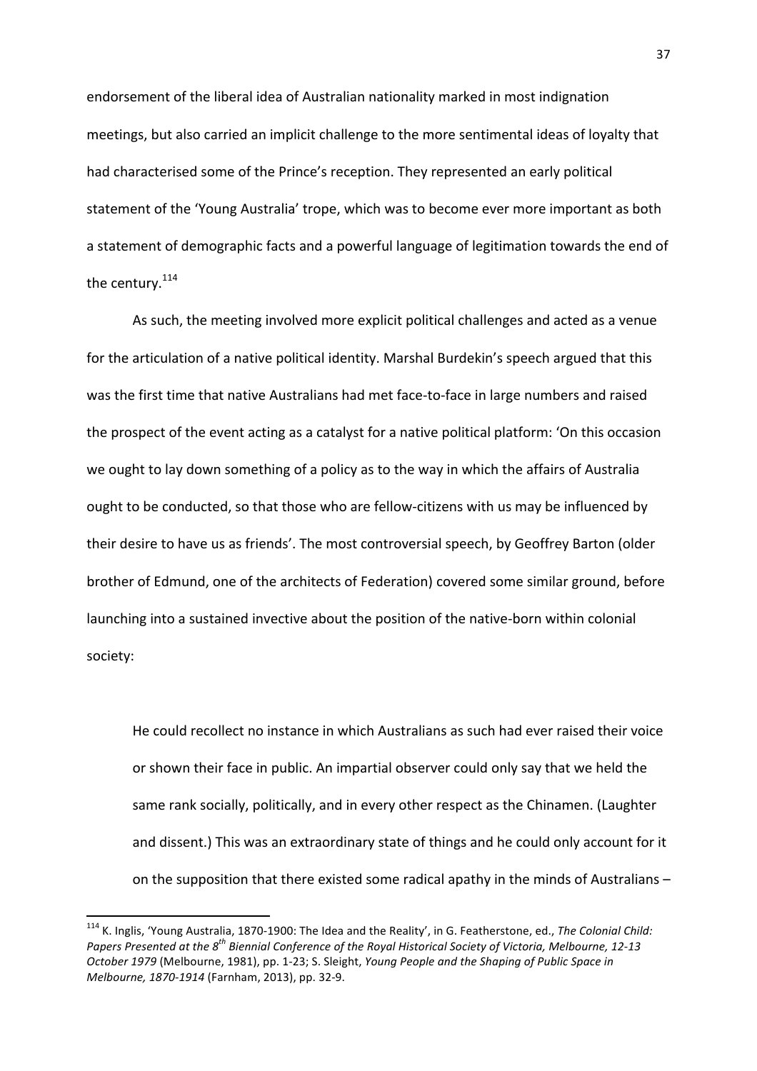endorsement of the liberal idea of Australian nationality marked in most indignation meetings, but also carried an implicit challenge to the more sentimental ideas of loyalty that had characterised some of the Prince's reception. They represented an early political statement of the 'Young Australia' trope, which was to become ever more important as both a statement of demographic facts and a powerful language of legitimation towards the end of the century. $114$ 

As such, the meeting involved more explicit political challenges and acted as a venue for the articulation of a native political identity. Marshal Burdekin's speech argued that this was the first time that native Australians had met face-to-face in large numbers and raised the prospect of the event acting as a catalyst for a native political platform: 'On this occasion we ought to lay down something of a policy as to the way in which the affairs of Australia ought to be conducted, so that those who are fellow-citizens with us may be influenced by their desire to have us as friends'. The most controversial speech, by Geoffrey Barton (older brother of Edmund, one of the architects of Federation) covered some similar ground, before launching into a sustained invective about the position of the native-born within colonial society: 

He could recollect no instance in which Australians as such had ever raised their voice or shown their face in public. An impartial observer could only say that we held the same rank socially, politically, and in every other respect as the Chinamen. (Laughter and dissent.) This was an extraordinary state of things and he could only account for it on the supposition that there existed some radical apathy in the minds of Australians  $-$ 

<sup>&</sup>lt;sup>114</sup> K. Inglis, 'Young Australia, 1870-1900: The Idea and the Reality', in G. Featherstone, ed., The Colonial Child: *Papers* Presented at the 8<sup>th</sup> Biennial Conference of the Royal Historical Society of Victoria, Melbourne, 12-13 October 1979 (Melbourne, 1981), pp. 1-23; S. Sleight, *Young People and the Shaping of Public Space in Melbourne, 1870-1914* (Farnham, 2013), pp. 32-9.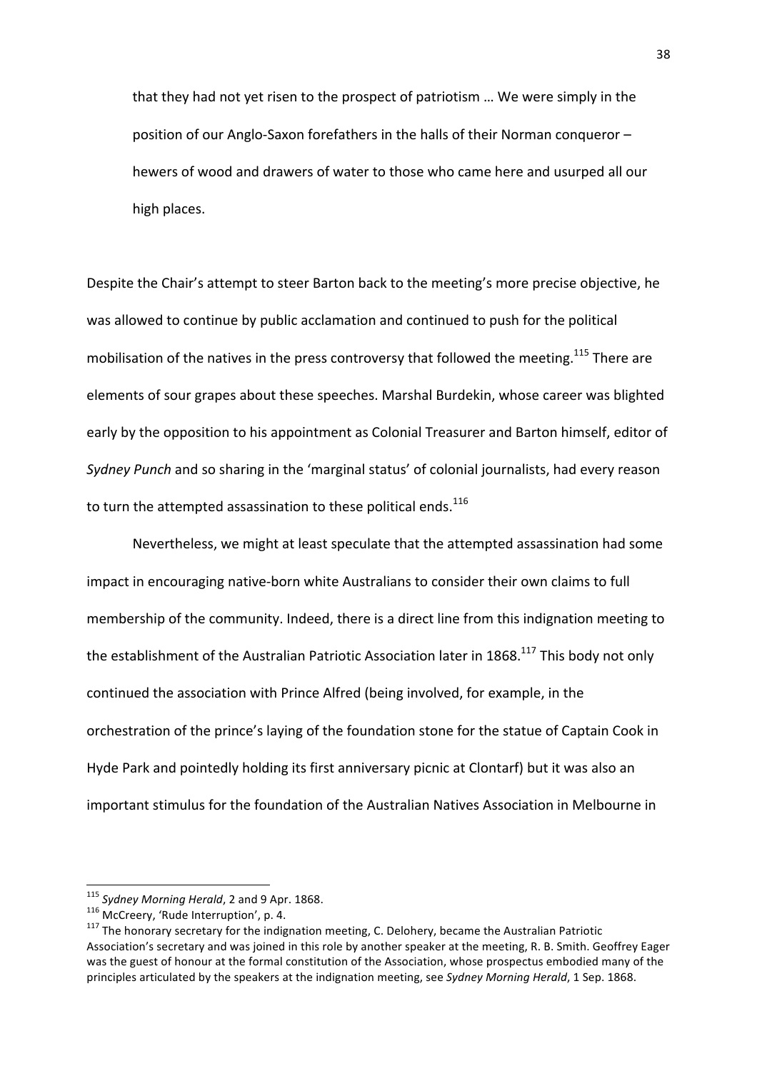that they had not yet risen to the prospect of patriotism ... We were simply in the position of our Anglo-Saxon forefathers in the halls of their Norman conqueror – hewers of wood and drawers of water to those who came here and usurped all our high places.

Despite the Chair's attempt to steer Barton back to the meeting's more precise objective, he was allowed to continue by public acclamation and continued to push for the political mobilisation of the natives in the press controversy that followed the meeting.<sup>115</sup> There are elements of sour grapes about these speeches. Marshal Burdekin, whose career was blighted early by the opposition to his appointment as Colonial Treasurer and Barton himself, editor of *Sydney Punch* and so sharing in the 'marginal status' of colonial journalists, had every reason to turn the attempted assassination to these political ends. $^{116}$ 

Nevertheless, we might at least speculate that the attempted assassination had some impact in encouraging native-born white Australians to consider their own claims to full membership of the community. Indeed, there is a direct line from this indignation meeting to the establishment of the Australian Patriotic Association later in 1868.<sup>117</sup> This body not only continued the association with Prince Alfred (being involved, for example, in the orchestration of the prince's laying of the foundation stone for the statue of Captain Cook in Hyde Park and pointedly holding its first anniversary picnic at Clontarf) but it was also an important stimulus for the foundation of the Australian Natives Association in Melbourne in

<sup>&</sup>lt;sup>115</sup> *Sydney Morning Herald*, 2 and 9 Apr. 1868.<br><sup>116</sup> McCreery, 'Rude Interruption', p. 4.<br><sup>117</sup> The honorary secretary for the indignation meeting, C. Delohery, became the Australian Patriotic Association's secretary and was joined in this role by another speaker at the meeting, R. B. Smith. Geoffrey Eager was the guest of honour at the formal constitution of the Association, whose prospectus embodied many of the principles articulated by the speakers at the indignation meeting, see Sydney Morning Herald, 1 Sep. 1868.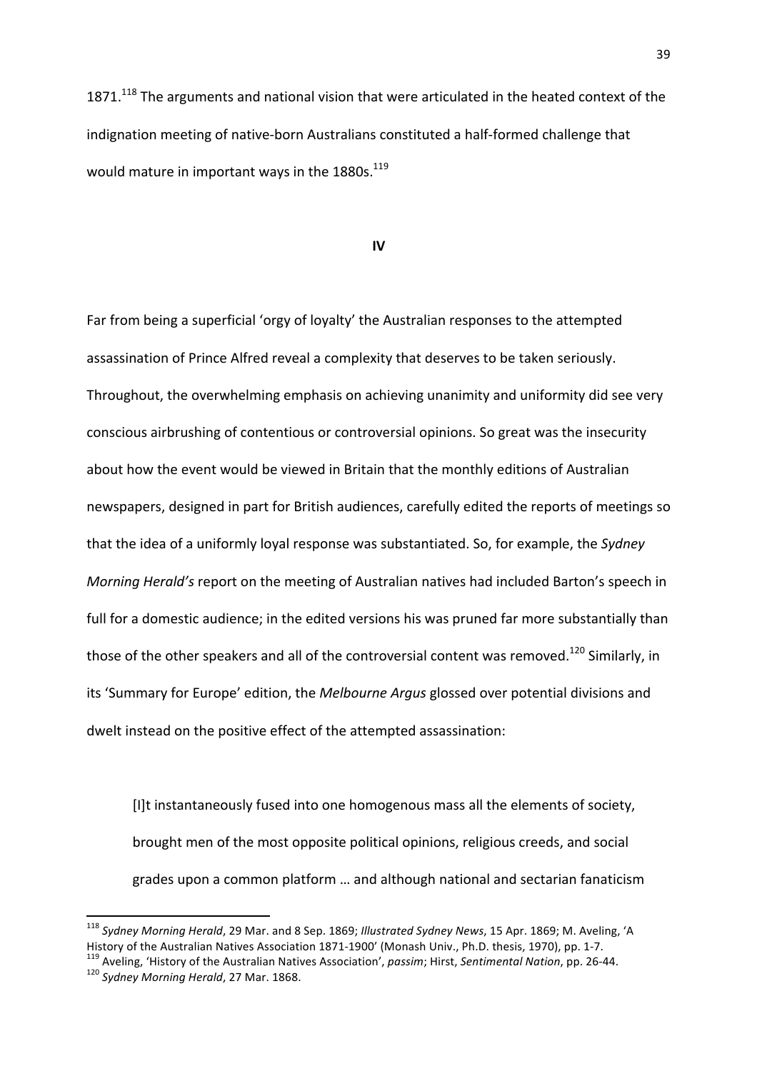$1871.<sup>118</sup>$  The arguments and national vision that were articulated in the heated context of the indignation meeting of native-born Australians constituted a half-formed challenge that would mature in important ways in the  $1880s$ .<sup>119</sup>

#### **IV**

Far from being a superficial 'orgy of loyalty' the Australian responses to the attempted assassination of Prince Alfred reveal a complexity that deserves to be taken seriously. Throughout, the overwhelming emphasis on achieving unanimity and uniformity did see very conscious airbrushing of contentious or controversial opinions. So great was the insecurity about how the event would be viewed in Britain that the monthly editions of Australian newspapers, designed in part for British audiences, carefully edited the reports of meetings so that the idea of a uniformly loyal response was substantiated. So, for example, the Sydney *Morning Herald's* report on the meeting of Australian natives had included Barton's speech in full for a domestic audience; in the edited versions his was pruned far more substantially than those of the other speakers and all of the controversial content was removed.<sup>120</sup> Similarly, in its 'Summary for Europe' edition, the *Melbourne Argus* glossed over potential divisions and dwelt instead on the positive effect of the attempted assassination:

[I]t instantaneously fused into one homogenous mass all the elements of society, brought men of the most opposite political opinions, religious creeds, and social grades upon a common platform ... and although national and sectarian fanaticism

<sup>&</sup>lt;sup>118</sup> Sydney Morning Herald, 29 Mar. and 8 Sep. 1869; Illustrated Sydney News, 15 Apr. 1869; M. Aveling, 'A History of the Australian Natives Association 1871-1900' (Monash Univ., Ph.D. thesis, 1970), pp. 1-7.<br><sup>119</sup> Aveling, 'History of the Australian Natives Association', *passim*; Hirst, Sentimental Nation, pp. 26-44.<br><sup>120</sup> Sy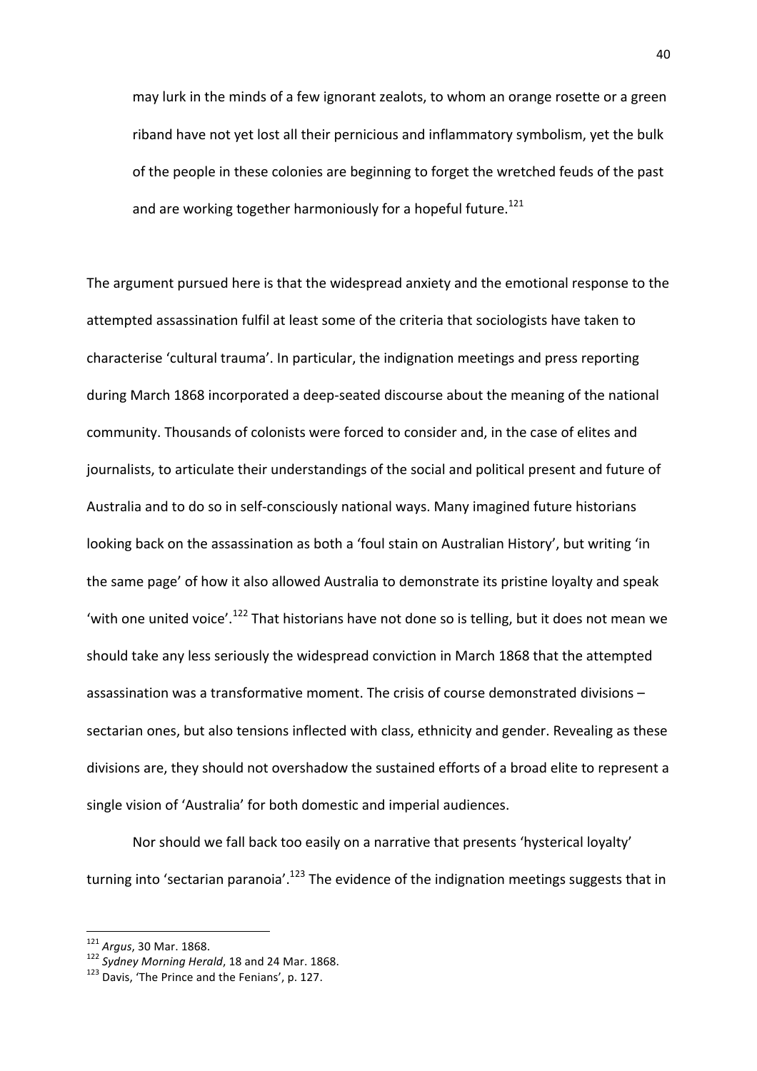may lurk in the minds of a few ignorant zealots, to whom an orange rosette or a green riband have not yet lost all their pernicious and inflammatory symbolism, yet the bulk of the people in these colonies are beginning to forget the wretched feuds of the past and are working together harmoniously for a hopeful future.<sup>121</sup>

The argument pursued here is that the widespread anxiety and the emotional response to the attempted assassination fulfil at least some of the criteria that sociologists have taken to characterise 'cultural trauma'. In particular, the indignation meetings and press reporting during March 1868 incorporated a deep-seated discourse about the meaning of the national community. Thousands of colonists were forced to consider and, in the case of elites and journalists, to articulate their understandings of the social and political present and future of Australia and to do so in self-consciously national ways. Many imagined future historians looking back on the assassination as both a 'foul stain on Australian History', but writing 'in the same page' of how it also allowed Australia to demonstrate its pristine loyalty and speak 'with one united voice'.<sup>122</sup> That historians have not done so is telling, but it does not mean we should take any less seriously the widespread conviction in March 1868 that the attempted assassination was a transformative moment. The crisis of course demonstrated divisions sectarian ones, but also tensions inflected with class, ethnicity and gender. Revealing as these divisions are, they should not overshadow the sustained efforts of a broad elite to represent a single vision of 'Australia' for both domestic and imperial audiences.

Nor should we fall back too easily on a narrative that presents 'hysterical loyalty' turning into 'sectarian paranoia'.<sup>123</sup> The evidence of the indignation meetings suggests that in

<sup>&</sup>lt;sup>121</sup> Argus, 30 Mar. 1868.<br><sup>122</sup> Sydney Morning Herald, 18 and 24 Mar. 1868.<br><sup>123</sup> Davis, 'The Prince and the Fenians', p. 127.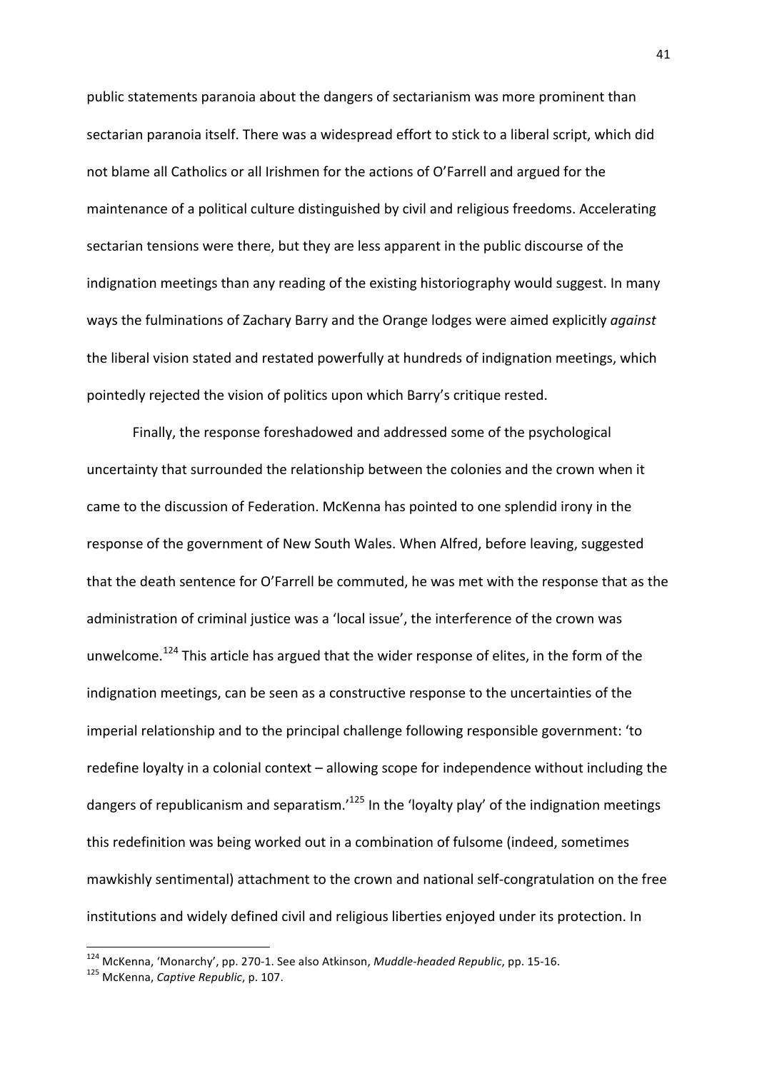public statements paranoia about the dangers of sectarianism was more prominent than sectarian paranoia itself. There was a widespread effort to stick to a liberal script, which did not blame all Catholics or all Irishmen for the actions of O'Farrell and argued for the maintenance of a political culture distinguished by civil and religious freedoms. Accelerating sectarian tensions were there, but they are less apparent in the public discourse of the indignation meetings than any reading of the existing historiography would suggest. In many ways the fulminations of Zachary Barry and the Orange lodges were aimed explicitly *against* the liberal vision stated and restated powerfully at hundreds of indignation meetings, which pointedly rejected the vision of politics upon which Barry's critique rested.

Finally, the response foreshadowed and addressed some of the psychological uncertainty that surrounded the relationship between the colonies and the crown when it came to the discussion of Federation. McKenna has pointed to one splendid irony in the response of the government of New South Wales. When Alfred, before leaving, suggested that the death sentence for O'Farrell be commuted, he was met with the response that as the administration of criminal justice was a 'local issue', the interference of the crown was unwelcome.<sup>124</sup> This article has argued that the wider response of elites, in the form of the indignation meetings, can be seen as a constructive response to the uncertainties of the imperial relationship and to the principal challenge following responsible government: 'to redefine loyalty in a colonial context – allowing scope for independence without including the dangers of republicanism and separatism.<sup> $125$ </sup> In the 'loyalty play' of the indignation meetings this redefinition was being worked out in a combination of fulsome (indeed, sometimes mawkishly sentimental) attachment to the crown and national self-congratulation on the free institutions and widely defined civil and religious liberties enjoyed under its protection. In

 

<sup>&</sup>lt;sup>124</sup> McKenna, 'Monarchy', pp. 270-1. See also Atkinson, *Muddle-headed Republic*, pp. 15-16.<br><sup>125</sup> McKenna, *Captive Republic*, p. 107.